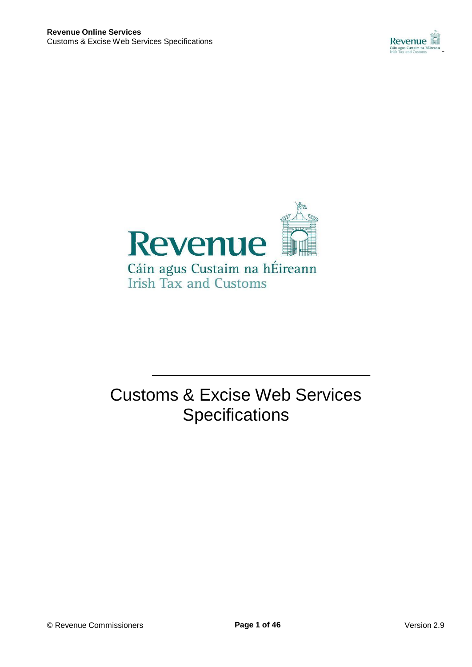



# Customs & Excise Web Services **Specifications**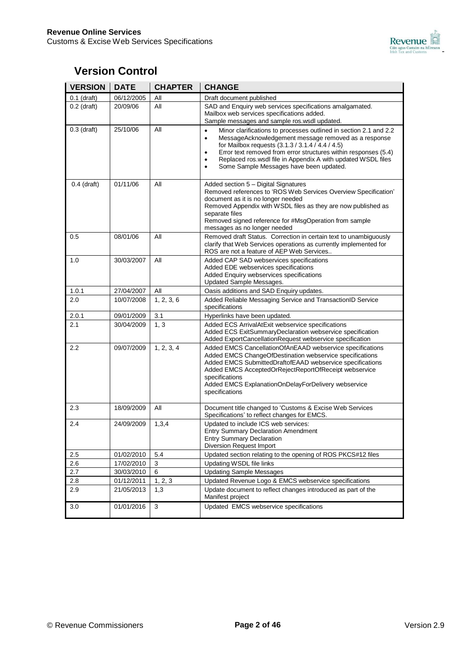

## **Version Control**

| <b>VERSION</b> | <b>DATE</b> | <b>CHAPTER</b> | <b>CHANGE</b>                                                                                                                                                                                                                                                                                                                                                                                                |
|----------------|-------------|----------------|--------------------------------------------------------------------------------------------------------------------------------------------------------------------------------------------------------------------------------------------------------------------------------------------------------------------------------------------------------------------------------------------------------------|
| $0.1$ (draft)  | 06/12/2005  | All            | Draft document published                                                                                                                                                                                                                                                                                                                                                                                     |
| $0.2$ (draft)  | 20/09/06    | All            | SAD and Enquiry web services specifications amalgamated.<br>Mailbox web services specifications added.<br>Sample messages and sample ros. wsdl updated.                                                                                                                                                                                                                                                      |
| $0.3$ (draft)  | 25/10/06    | All            | Minor clarifications to processes outlined in section 2.1 and 2.2<br>$\bullet$<br>MessageAcknowledgement message removed as a response<br>$\bullet$<br>for Mailbox requests (3.1.3 / 3.1.4 / 4.4 / 4.5)<br>Error text removed from error structures within responses (5.4)<br>٠<br>Replaced ros.wsdl file in Appendix A with updated WSDL files<br>٠<br>Some Sample Messages have been updated.<br>$\bullet$ |
| $0.4$ (draft)  | 01/11/06    | All            | Added section 5 - Digital Signatures<br>Removed references to 'ROS Web Services Overview Specification'<br>document as it is no longer needed<br>Removed Appendix with WSDL files as they are now published as<br>separate files<br>Removed signed reference for #MsgOperation from sample<br>messages as no longer needed                                                                                   |
| 0.5            | 08/01/06    | All            | Removed draft Status. Correction in certain text to unambiguously<br>clarify that Web Services operations as currently implemented for<br>ROS are not a feature of AEP Web Services                                                                                                                                                                                                                          |
| 1.0            | 30/03/2007  | All            | Added CAP SAD webservices specifications<br>Added EDE webservices specifications<br>Added Enquiry webservices specifications<br>Updated Sample Messages.                                                                                                                                                                                                                                                     |
| 1.0.1          | 27/04/2007  | All            | Oasis additions and SAD Enquiry updates.                                                                                                                                                                                                                                                                                                                                                                     |
| 2.0            | 10/07/2008  | 1, 2, 3, 6     | Added Reliable Messaging Service and TransactionID Service<br>specifications                                                                                                                                                                                                                                                                                                                                 |
| 2.0.1          | 09/01/2009  | 3.1            | Hyperlinks have been updated.                                                                                                                                                                                                                                                                                                                                                                                |
| 2.1            | 30/04/2009  | 1, 3           | Added ECS ArrivalAtExit webservice specifications<br>Added ECS ExitSummaryDeclaration webservice specification<br>Added ExportCancellationRequest webservice specification                                                                                                                                                                                                                                   |
| 2.2            | 09/07/2009  | 1, 2, 3, 4     | Added EMCS CancellationOfAnEAAD webservice specifications<br>Added EMCS ChangeOfDestination webservice specifications<br>Added EMCS SubmittedDraftofEAAD webservice specifications<br>Added EMCS AcceptedOrRejectReportOfReceipt webservice<br>specifications<br>Added EMCS ExplanationOnDelayForDelivery webservice<br>specifications                                                                       |
| 2.3            | 18/09/2009  | All            | Document title changed to 'Customs & Excise Web Services<br>Specifications' to reflect changes for EMCS.                                                                                                                                                                                                                                                                                                     |
| 2.4            | 24/09/2009  | 1,3,4          | Updated to include ICS web services:<br><b>Entry Summary Declaration Amendment</b><br>Entry Summary Declaration<br>Diversion Request Import                                                                                                                                                                                                                                                                  |
| 2.5            | 01/02/2010  | 5.4            | Updated section relating to the opening of ROS PKCS#12 files                                                                                                                                                                                                                                                                                                                                                 |
| 2.6            | 17/02/2010  | 3              | Updating WSDL file links                                                                                                                                                                                                                                                                                                                                                                                     |
| 2.7            | 30/03/2010  | 6              | <b>Updating Sample Messages</b>                                                                                                                                                                                                                                                                                                                                                                              |
| 2.8            | 01/12/2011  | 1, 2, 3        | Updated Revenue Logo & EMCS webservice specifications                                                                                                                                                                                                                                                                                                                                                        |
| 2.9            | 21/05/2013  | 1,3            | Update document to reflect changes introduced as part of the<br>Manifest project                                                                                                                                                                                                                                                                                                                             |
| 3.0            | 01/01/2016  | 3              | Updated EMCS webservice specifications                                                                                                                                                                                                                                                                                                                                                                       |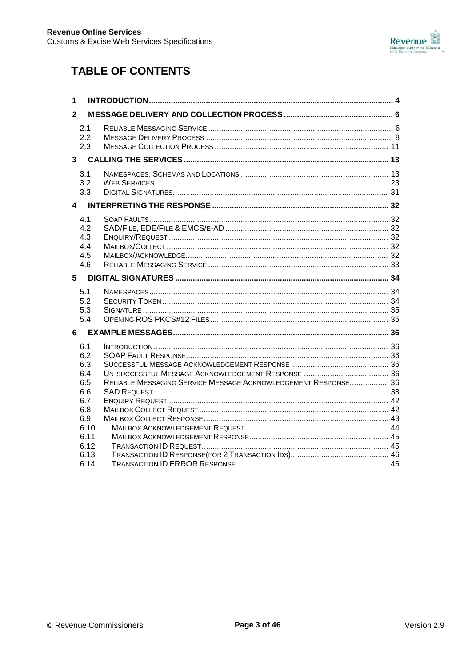

## **TABLE OF CONTENTS**

| 1              |                                                                                             |                                                                |  |  |  |
|----------------|---------------------------------------------------------------------------------------------|----------------------------------------------------------------|--|--|--|
| $\mathbf{2}$   |                                                                                             |                                                                |  |  |  |
|                | 2.1<br>2.2<br>2.3                                                                           |                                                                |  |  |  |
| 3 <sup>7</sup> |                                                                                             |                                                                |  |  |  |
|                | 3.1<br>3.2<br>3.3                                                                           |                                                                |  |  |  |
|                |                                                                                             |                                                                |  |  |  |
|                | 4.1<br>4.2<br>4.3<br>4.4<br>4.5<br>4.6                                                      |                                                                |  |  |  |
| 5              |                                                                                             |                                                                |  |  |  |
|                | 5.1<br>5.2<br>5.3<br>5.4                                                                    |                                                                |  |  |  |
| 6              |                                                                                             |                                                                |  |  |  |
|                | 6.1<br>6.2<br>6.3<br>6.4<br>6.5<br>6.6<br>6.7<br>6.8<br>6.9<br>6.10<br>6.11<br>6.12<br>6.13 | RELIABLE MESSAGING SERVICE MESSAGE ACKNOWLEDGEMENT RESPONSE 36 |  |  |  |
|                | 6.14                                                                                        |                                                                |  |  |  |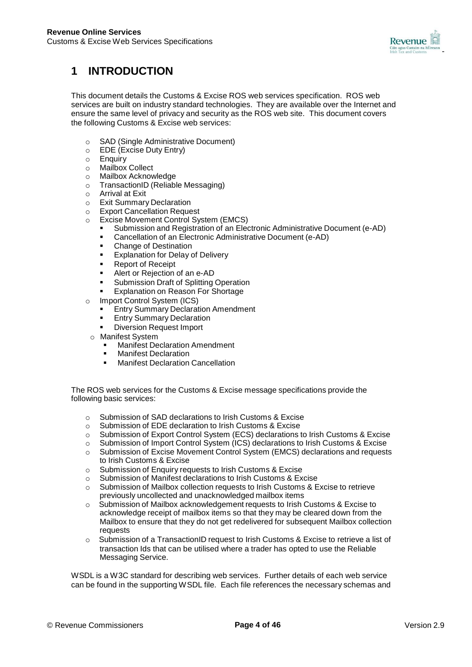

## **1 INTRODUCTION**

This document details the Customs & Excise ROS web services specification. ROS web services are built on industry standard technologies. They are available over the Internet and ensure the same level of privacy and security as the ROS web site. This document covers the following Customs & Excise web services:

- o SAD (Single Administrative Document)
- o EDE (Excise Duty Entry)
- o Enquiry
- Mailbox Collect<br>○ Mailbox Acknow
- **Mailbox Acknowledge**
- o TransactionID (Reliable Messaging)
- o Arrival at Exit<br>
o Exit Summary
- **Exit Summary Declaration**
- o Export Cancellation Request
- o Excise Movement Control System (EMCS)
	- Submission and Registration of an Electronic Administrative Document (e-AD)
	- **Cancellation of an Electronic Administrative Document (e-AD)**<br> **Change of Destination**
	- Change of Destination
	- **Explanation for Delay of Delivery**
	- Report of Receipt
	- Alert or Rejection of an e-AD
	- **Submission Draft of Splitting Operation**
	- Explanation on Reason For Shortage
- o Import Control System (ICS)
	- Entry Summary Declaration Amendment
	- Entry Summary Declaration
	- Diversion Request Import
	- o Manifest System
		- **Manifest Declaration Amendment**<br>**Manifest Declaration**
		- **Manifest Declaration**<br>Manifest Declaration
		- Manifest Declaration Cancellation

The ROS web services for the Customs & Excise message specifications provide the following basic services:

- o Submission of SAD declarations to Irish Customs & Excise
- o Submission of EDE declaration to Irish Customs & Excise
- o Submission of Export Control System (ECS) declarations to Irish Customs & Excise
- o Submission of Import Control System (ICS) declarations to Irish Customs & Excise
- o Submission of Excise Movement Control System (EMCS) declarations and requests to Irish Customs & Excise
- o Submission of Enquiry requests to Irish Customs & Excise
- o Submission of Manifest declarations to Irish Customs & Excise
- o Submission of Mailbox collection requests to Irish Customs & Excise to retrieve previously uncollected and unacknowledged mailbox items
- o Submission of Mailbox acknowledgement requests to Irish Customs & Excise to acknowledge receipt of mailbox items so that they may be cleared down from the Mailbox to ensure that they do not get redelivered for subsequent Mailbox collection requests
- Submission of a TransactionID request to Irish Customs & Excise to retrieve a list of transaction Ids that can be utilised where a trader has opted to use the Reliable Messaging Service.

WSDL is a W3C standard for describing web services. Further details of each web service can be found in the supporting WSDL file. Each file references the necessary schemas and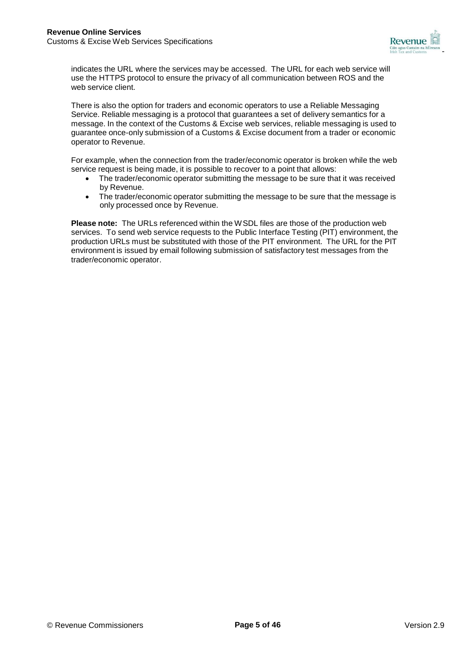

indicates the URL where the services may be accessed. The URL for each web service will use the HTTPS protocol to ensure the privacy of all communication between ROS and the web service client.

There is also the option for traders and economic operators to use a Reliable Messaging Service. Reliable messaging is a protocol that guarantees a set of delivery semantics for a message. In the context of the Customs & Excise web services, reliable messaging is used to guarantee once-only submission of a Customs & Excise document from a trader or economic operator to Revenue.

For example, when the connection from the trader/economic operator is broken while the web service request is being made, it is possible to recover to a point that allows:

- The trader/economic operator submitting the message to be sure that it was received by Revenue.
- The trader/economic operator submitting the message to be sure that the message is only processed once by Revenue.

**Please note:** The URLs referenced within the WSDL files are those of the production web services. To send web service requests to the Public Interface Testing (PIT) environment, the production URLs must be substituted with those of the PIT environment. The URL for the PIT environment is issued by email following submission of satisfactory test messages from the trader/economic operator.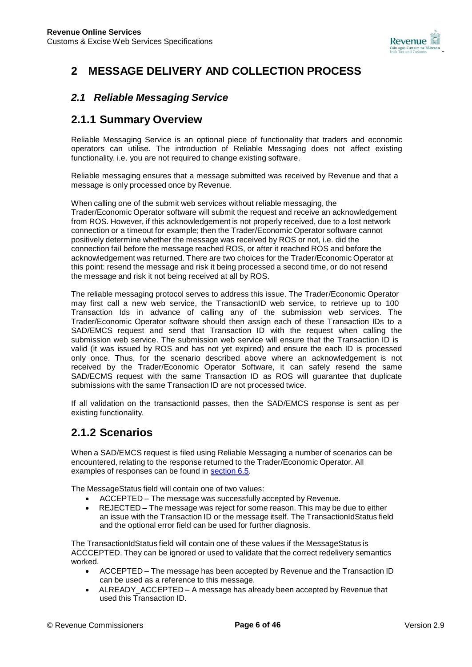

## **2 MESSAGE DELIVERY AND COLLECTION PROCESS**

## *2.1 Reliable Messaging Service*

## **2.1.1 Summary Overview**

Reliable Messaging Service is an optional piece of functionality that traders and economic operators can utilise. The introduction of Reliable Messaging does not affect existing functionality. i.e. you are not required to change existing software.

Reliable messaging ensures that a message submitted was received by Revenue and that a message is only processed once by Revenue.

When calling one of the submit web services without reliable messaging, the Trader/Economic Operator software will submit the request and receive an acknowledgement from ROS. However, if this acknowledgement is not properly received, due to a lost network connection or a timeout for example; then the Trader/Economic Operator software cannot positively determine whether the message was received by ROS or not, i.e. did the connection fail before the message reached ROS, or after it reached ROS and before the acknowledgement was returned. There are two choices for the Trader/Economic Operator at this point: resend the message and risk it being processed a second time, or do not resend the message and risk it not being received at all by ROS.

The reliable messaging protocol serves to address this issue. The Trader/Economic Operator may first call a new web service, the TransactionID web service, to retrieve up to 100 Transaction Ids in advance of calling any of the submission web services. The Trader/Economic Operator software should then assign each of these Transaction IDs to a SAD/EMCS request and send that Transaction ID with the request when calling the submission web service. The submission web service will ensure that the Transaction ID is valid (it was issued by ROS and has not yet expired) and ensure the each ID is processed only once. Thus, for the scenario described above where an acknowledgement is not received by the Trader/Economic Operator Software, it can safely resend the same SAD/ECMS request with the same Transaction ID as ROS will guarantee that duplicate submissions with the same Transaction ID are not processed twice.

If all validation on the transactionId passes, then the SAD/EMCS response is sent as per existing functionality.

## **2.1.2 Scenarios**

When a SAD/EMCS request is filed using Reliable Messaging a number of scenarios can be encountered, relating to the response returned to the Trader/Economic Operator. All examples of responses can be found in section 6.5.

The MessageStatus field will contain one of two values:

- ACCEPTED The message was successfully accepted by Revenue.
- REJECTED The message was reject for some reason. This may be due to either an issue with the Transaction ID or the message itself. The TransactionIdStatus field and the optional error field can be used for further diagnosis.

The TransactionIdStatus field will contain one of these values if the MessageStatus is ACCCEPTED. They can be ignored or used to validate that the correct redelivery semantics worked.

- ACCEPTED The message has been accepted by Revenue and the Transaction ID can be used as a reference to this message.
- ALREADY ACCEPTED A message has already been accepted by Revenue that used this Transaction ID.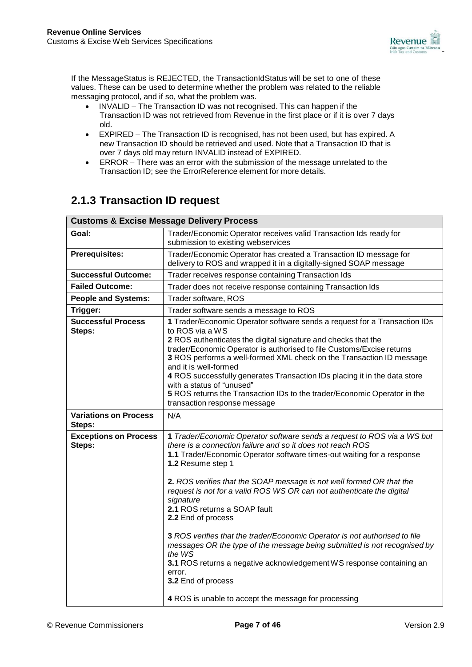

If the MessageStatus is REJECTED, the TransactionIdStatus will be set to one of these values. These can be used to determine whether the problem was related to the reliable messaging protocol, and if so, what the problem was.

- INVALID The Transaction ID was not recognised. This can happen if the Transaction ID was not retrieved from Revenue in the first place or if it is over 7 days old.
- EXPIRED The Transaction ID is recognised, has not been used, but has expired. A new Transaction ID should be retrieved and used. Note that a Transaction ID that is over 7 days old may return INVALID instead of EXPIRED.
- ERROR There was an error with the submission of the message unrelated to the Transaction ID; see the ErrorReference element for more details.

## **2.1.3 Transaction ID request**

| Goal:                                  | Trader/Economic Operator receives valid Transaction Ids ready for<br>submission to existing webservices                                                                                                                                                                                                                                                                                                                                                                                                                                                       |  |  |
|----------------------------------------|---------------------------------------------------------------------------------------------------------------------------------------------------------------------------------------------------------------------------------------------------------------------------------------------------------------------------------------------------------------------------------------------------------------------------------------------------------------------------------------------------------------------------------------------------------------|--|--|
| <b>Prerequisites:</b>                  | Trader/Economic Operator has created a Transaction ID message for<br>delivery to ROS and wrapped it in a digitally-signed SOAP message                                                                                                                                                                                                                                                                                                                                                                                                                        |  |  |
| <b>Successful Outcome:</b>             | Trader receives response containing Transaction Ids                                                                                                                                                                                                                                                                                                                                                                                                                                                                                                           |  |  |
| <b>Failed Outcome:</b>                 | Trader does not receive response containing Transaction Ids                                                                                                                                                                                                                                                                                                                                                                                                                                                                                                   |  |  |
| <b>People and Systems:</b>             | Trader software, ROS                                                                                                                                                                                                                                                                                                                                                                                                                                                                                                                                          |  |  |
| Trigger:                               | Trader software sends a message to ROS                                                                                                                                                                                                                                                                                                                                                                                                                                                                                                                        |  |  |
| <b>Successful Process</b><br>Steps:    | 1 Trader/Economic Operator software sends a request for a Transaction IDs<br>to ROS via a WS<br>2 ROS authenticates the digital signature and checks that the<br>trader/Economic Operator is authorised to file Customs/Excise returns<br>3 ROS performs a well-formed XML check on the Transaction ID message<br>and it is well-formed<br>4 ROS successfully generates Transaction IDs placing it in the data store<br>with a status of "unused"<br>5 ROS returns the Transaction IDs to the trader/Economic Operator in the<br>transaction response message |  |  |
| <b>Variations on Process</b><br>Steps: | N/A                                                                                                                                                                                                                                                                                                                                                                                                                                                                                                                                                           |  |  |
| <b>Exceptions on Process</b><br>Steps: | 1 Trader/Economic Operator software sends a request to ROS via a WS but<br>there is a connection failure and so it does not reach ROS<br>1.1 Trader/Economic Operator software times-out waiting for a response<br>1.2 Resume step 1<br>2. ROS verifies that the SOAP message is not well formed OR that the                                                                                                                                                                                                                                                  |  |  |
|                                        | request is not for a valid ROS WS OR can not authenticate the digital<br>signature<br>2.1 ROS returns a SOAP fault<br>2.2 End of process                                                                                                                                                                                                                                                                                                                                                                                                                      |  |  |
|                                        | 3 ROS verifies that the trader/Economic Operator is not authorised to file<br>messages OR the type of the message being submitted is not recognised by<br>the WS<br>3.1 ROS returns a negative acknowledgement WS response containing an<br>error.<br>3.2 End of process                                                                                                                                                                                                                                                                                      |  |  |
|                                        | 4 ROS is unable to accept the message for processing                                                                                                                                                                                                                                                                                                                                                                                                                                                                                                          |  |  |

### **Customs & Excise Message Delivery Process**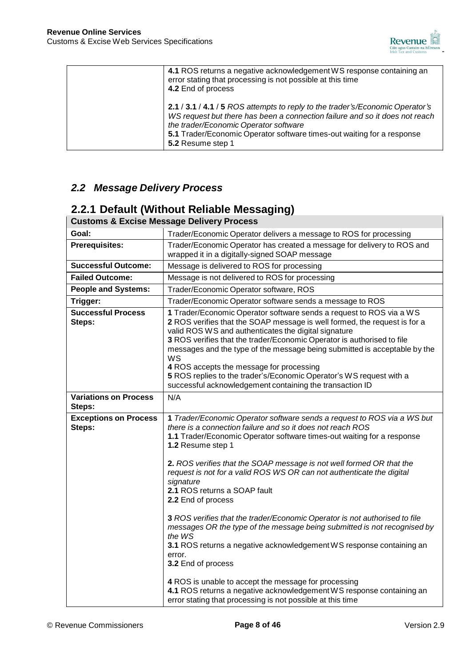

| 4.1 ROS returns a negative acknowledgement WS response containing an<br>error stating that processing is not possible at this time<br>4.2 End of process                                                                                                                                             |
|------------------------------------------------------------------------------------------------------------------------------------------------------------------------------------------------------------------------------------------------------------------------------------------------------|
| 2.1 / 3.1 / 4.1 / 5 ROS attempts to reply to the trader's/Economic Operator's<br>WS request but there has been a connection failure and so it does not reach<br>the trader/Economic Operator software<br>5.1 Trader/Economic Operator software times-out waiting for a response<br>5.2 Resume step 1 |

## *2.2 Message Delivery Process*

## **2.2.1 Default (Without Reliable Messaging)**

## **Customs & Excise Message Delivery Process**

| Goal:                                  | Trader/Economic Operator delivers a message to ROS for processing                                                                                                                                                                                                                                                                                                                                                                                                                                                                                                                                                                                                                                                                                                                            |  |
|----------------------------------------|----------------------------------------------------------------------------------------------------------------------------------------------------------------------------------------------------------------------------------------------------------------------------------------------------------------------------------------------------------------------------------------------------------------------------------------------------------------------------------------------------------------------------------------------------------------------------------------------------------------------------------------------------------------------------------------------------------------------------------------------------------------------------------------------|--|
| <b>Prerequisites:</b>                  | Trader/Economic Operator has created a message for delivery to ROS and<br>wrapped it in a digitally-signed SOAP message                                                                                                                                                                                                                                                                                                                                                                                                                                                                                                                                                                                                                                                                      |  |
| <b>Successful Outcome:</b>             | Message is delivered to ROS for processing                                                                                                                                                                                                                                                                                                                                                                                                                                                                                                                                                                                                                                                                                                                                                   |  |
| <b>Failed Outcome:</b>                 | Message is not delivered to ROS for processing                                                                                                                                                                                                                                                                                                                                                                                                                                                                                                                                                                                                                                                                                                                                               |  |
| <b>People and Systems:</b>             | Trader/Economic Operator software, ROS                                                                                                                                                                                                                                                                                                                                                                                                                                                                                                                                                                                                                                                                                                                                                       |  |
| Trigger:                               | Trader/Economic Operator software sends a message to ROS                                                                                                                                                                                                                                                                                                                                                                                                                                                                                                                                                                                                                                                                                                                                     |  |
| <b>Successful Process</b><br>Steps:    | 1 Trader/Economic Operator software sends a request to ROS via a WS<br>2 ROS verifies that the SOAP message is well formed, the request is for a<br>valid ROS WS and authenticates the digital signature<br>3 ROS verifies that the trader/Economic Operator is authorised to file<br>messages and the type of the message being submitted is acceptable by the<br>WS<br>4 ROS accepts the message for processing<br>5 ROS replies to the trader's/Economic Operator's WS request with a<br>successful acknowledgement containing the transaction ID                                                                                                                                                                                                                                         |  |
| <b>Variations on Process</b><br>Steps: | N/A                                                                                                                                                                                                                                                                                                                                                                                                                                                                                                                                                                                                                                                                                                                                                                                          |  |
| <b>Exceptions on Process</b><br>Steps: | 1 Trader/Economic Operator software sends a request to ROS via a WS but<br>there is a connection failure and so it does not reach ROS<br>1.1 Trader/Economic Operator software times-out waiting for a response<br>1.2 Resume step 1<br>2. ROS verifies that the SOAP message is not well formed OR that the<br>request is not for a valid ROS WS OR can not authenticate the digital<br>signature<br>2.1 ROS returns a SOAP fault<br>2.2 End of process<br>3 ROS verifies that the trader/Economic Operator is not authorised to file<br>messages OR the type of the message being submitted is not recognised by<br>the WS<br>3.1 ROS returns a negative acknowledgement WS response containing an<br>error.<br>3.2 End of process<br>4 ROS is unable to accept the message for processing |  |
|                                        | 4.1 ROS returns a negative acknowledgement WS response containing an<br>error stating that processing is not possible at this time                                                                                                                                                                                                                                                                                                                                                                                                                                                                                                                                                                                                                                                           |  |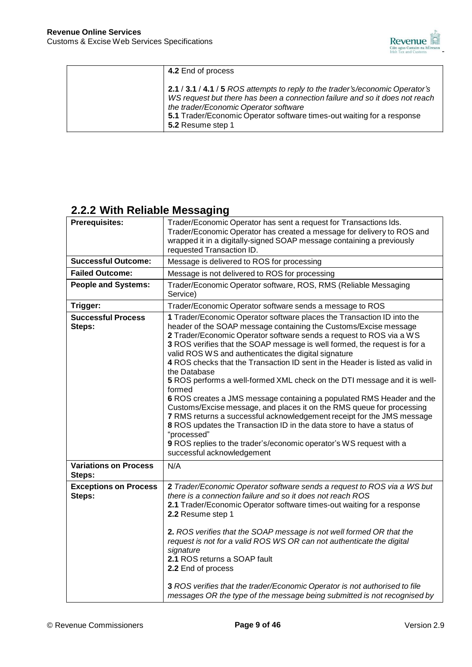

| 4.2 End of process                                                                                                                                                                                                                                                                                   |
|------------------------------------------------------------------------------------------------------------------------------------------------------------------------------------------------------------------------------------------------------------------------------------------------------|
| 2.1 / 3.1 / 4.1 / 5 ROS attempts to reply to the trader's/economic Operator's<br>WS request but there has been a connection failure and so it does not reach<br>the trader/Economic Operator software<br>5.1 Trader/Economic Operator software times-out waiting for a response<br>5.2 Resume step 1 |

## **2.2.2 With Reliable Messaging**

| <b>Prerequisites:</b>                                                                                                                                                                                                                                                                                                                                                                                                                                                                                                                                                                                                                                                                                                                                                                                                                                                                                                                                                                                           | Trader/Economic Operator has sent a request for Transactions Ids.<br>Trader/Economic Operator has created a message for delivery to ROS and<br>wrapped it in a digitally-signed SOAP message containing a previously<br>requested Transaction ID.                                                                                                                                                                                                                                                                                                                                                                  |  |  |
|-----------------------------------------------------------------------------------------------------------------------------------------------------------------------------------------------------------------------------------------------------------------------------------------------------------------------------------------------------------------------------------------------------------------------------------------------------------------------------------------------------------------------------------------------------------------------------------------------------------------------------------------------------------------------------------------------------------------------------------------------------------------------------------------------------------------------------------------------------------------------------------------------------------------------------------------------------------------------------------------------------------------|--------------------------------------------------------------------------------------------------------------------------------------------------------------------------------------------------------------------------------------------------------------------------------------------------------------------------------------------------------------------------------------------------------------------------------------------------------------------------------------------------------------------------------------------------------------------------------------------------------------------|--|--|
| <b>Successful Outcome:</b>                                                                                                                                                                                                                                                                                                                                                                                                                                                                                                                                                                                                                                                                                                                                                                                                                                                                                                                                                                                      | Message is delivered to ROS for processing                                                                                                                                                                                                                                                                                                                                                                                                                                                                                                                                                                         |  |  |
| <b>Failed Outcome:</b>                                                                                                                                                                                                                                                                                                                                                                                                                                                                                                                                                                                                                                                                                                                                                                                                                                                                                                                                                                                          | Message is not delivered to ROS for processing                                                                                                                                                                                                                                                                                                                                                                                                                                                                                                                                                                     |  |  |
| <b>People and Systems:</b>                                                                                                                                                                                                                                                                                                                                                                                                                                                                                                                                                                                                                                                                                                                                                                                                                                                                                                                                                                                      | Trader/Economic Operator software, ROS, RMS (Reliable Messaging<br>Service)                                                                                                                                                                                                                                                                                                                                                                                                                                                                                                                                        |  |  |
| Trigger:                                                                                                                                                                                                                                                                                                                                                                                                                                                                                                                                                                                                                                                                                                                                                                                                                                                                                                                                                                                                        | Trader/Economic Operator software sends a message to ROS                                                                                                                                                                                                                                                                                                                                                                                                                                                                                                                                                           |  |  |
| <b>Successful Process</b><br>1 Trader/Economic Operator software places the Transaction ID into the<br>header of the SOAP message containing the Customs/Excise message<br>Steps:<br>2 Trader/Economic Operator software sends a request to ROS via a WS<br>3 ROS verifies that the SOAP message is well formed, the request is for a<br>valid ROS WS and authenticates the digital signature<br>4 ROS checks that the Transaction ID sent in the Header is listed as valid in<br>the Database<br>5 ROS performs a well-formed XML check on the DTI message and it is well-<br>formed<br>6 ROS creates a JMS message containing a populated RMS Header and the<br>Customs/Excise message, and places it on the RMS queue for processing<br>7 RMS returns a successful acknowledgement receipt for the JMS message<br>8 ROS updates the Transaction ID in the data store to have a status of<br>"processed"<br>9 ROS replies to the trader's/economic operator's WS request with a<br>successful acknowledgement |                                                                                                                                                                                                                                                                                                                                                                                                                                                                                                                                                                                                                    |  |  |
| <b>Variations on Process</b><br>Steps:                                                                                                                                                                                                                                                                                                                                                                                                                                                                                                                                                                                                                                                                                                                                                                                                                                                                                                                                                                          | N/A                                                                                                                                                                                                                                                                                                                                                                                                                                                                                                                                                                                                                |  |  |
| <b>Exceptions on Process</b><br>Steps:                                                                                                                                                                                                                                                                                                                                                                                                                                                                                                                                                                                                                                                                                                                                                                                                                                                                                                                                                                          | 2 Trader/Economic Operator software sends a request to ROS via a WS but<br>there is a connection failure and so it does not reach ROS<br>2.1 Trader/Economic Operator software times-out waiting for a response<br>2.2 Resume step 1<br>2. ROS verifies that the SOAP message is not well formed OR that the<br>request is not for a valid ROS WS OR can not authenticate the digital<br>signature<br>2.1 ROS returns a SOAP fault<br>2.2 End of process<br>3 ROS verifies that the trader/Economic Operator is not authorised to file<br>messages OR the type of the message being submitted is not recognised by |  |  |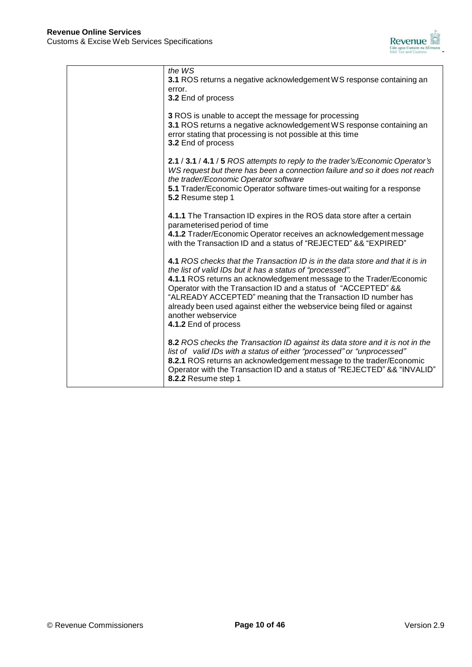

| the WS<br>3.1 ROS returns a negative acknowledgement WS response containing an<br>error.<br>3.2 End of process                                                                                                                                                                                                                                                                                                                                                               |
|------------------------------------------------------------------------------------------------------------------------------------------------------------------------------------------------------------------------------------------------------------------------------------------------------------------------------------------------------------------------------------------------------------------------------------------------------------------------------|
| 3 ROS is unable to accept the message for processing<br>3.1 ROS returns a negative acknowledgement WS response containing an<br>error stating that processing is not possible at this time<br>3.2 End of process                                                                                                                                                                                                                                                             |
| 2.1 / 3.1 / 4.1 / 5 ROS attempts to reply to the trader's/Economic Operator's<br>WS request but there has been a connection failure and so it does not reach<br>the trader/Economic Operator software<br>5.1 Trader/Economic Operator software times-out waiting for a response<br>5.2 Resume step 1                                                                                                                                                                         |
| 4.1.1 The Transaction ID expires in the ROS data store after a certain<br>parameterised period of time<br>4.1.2 Trader/Economic Operator receives an acknowledgement message<br>with the Transaction ID and a status of "REJECTED" && "EXPIRED"                                                                                                                                                                                                                              |
| 4.1 ROS checks that the Transaction ID is in the data store and that it is in<br>the list of valid IDs but it has a status of "processed".<br>4.1.1 ROS returns an acknowledgement message to the Trader/Economic<br>Operator with the Transaction ID and a status of "ACCEPTED" &&<br>"ALREADY ACCEPTED" meaning that the Transaction ID number has<br>already been used against either the webservice being filed or against<br>another webservice<br>4.1.2 End of process |
| 8.2 ROS checks the Transaction ID against its data store and it is not in the<br>list of valid IDs with a status of either "processed" or "unprocessed"<br>8.2.1 ROS returns an acknowledgement message to the trader/Economic<br>Operator with the Transaction ID and a status of "REJECTED" && "INVALID"<br>8.2.2 Resume step 1                                                                                                                                            |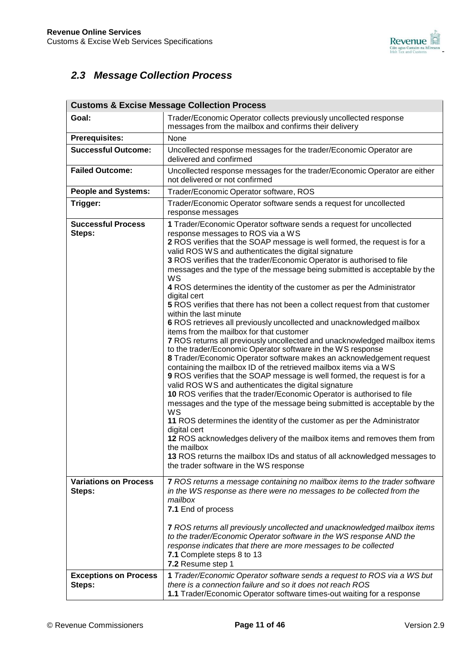

## *2.3 Message Collection Process*

| <b>Customs &amp; Excise Message Collection Process</b> |                                                                                                                                                                                                                                                                                                                                                                                                                                                                                                                                                                                                                                                                                                                                                                                                                                                                                                                                                                                                                                                                                                                                                                                                                                                                                                                                                                                                                                                                                                                                                                                                                                            |  |  |
|--------------------------------------------------------|--------------------------------------------------------------------------------------------------------------------------------------------------------------------------------------------------------------------------------------------------------------------------------------------------------------------------------------------------------------------------------------------------------------------------------------------------------------------------------------------------------------------------------------------------------------------------------------------------------------------------------------------------------------------------------------------------------------------------------------------------------------------------------------------------------------------------------------------------------------------------------------------------------------------------------------------------------------------------------------------------------------------------------------------------------------------------------------------------------------------------------------------------------------------------------------------------------------------------------------------------------------------------------------------------------------------------------------------------------------------------------------------------------------------------------------------------------------------------------------------------------------------------------------------------------------------------------------------------------------------------------------------|--|--|
| Goal:                                                  | Trader/Economic Operator collects previously uncollected response<br>messages from the mailbox and confirms their delivery                                                                                                                                                                                                                                                                                                                                                                                                                                                                                                                                                                                                                                                                                                                                                                                                                                                                                                                                                                                                                                                                                                                                                                                                                                                                                                                                                                                                                                                                                                                 |  |  |
| <b>Prerequisites:</b>                                  | None                                                                                                                                                                                                                                                                                                                                                                                                                                                                                                                                                                                                                                                                                                                                                                                                                                                                                                                                                                                                                                                                                                                                                                                                                                                                                                                                                                                                                                                                                                                                                                                                                                       |  |  |
| <b>Successful Outcome:</b>                             | Uncollected response messages for the trader/Economic Operator are<br>delivered and confirmed                                                                                                                                                                                                                                                                                                                                                                                                                                                                                                                                                                                                                                                                                                                                                                                                                                                                                                                                                                                                                                                                                                                                                                                                                                                                                                                                                                                                                                                                                                                                              |  |  |
| <b>Failed Outcome:</b>                                 | Uncollected response messages for the trader/Economic Operator are either<br>not delivered or not confirmed                                                                                                                                                                                                                                                                                                                                                                                                                                                                                                                                                                                                                                                                                                                                                                                                                                                                                                                                                                                                                                                                                                                                                                                                                                                                                                                                                                                                                                                                                                                                |  |  |
| <b>People and Systems:</b>                             | Trader/Economic Operator software, ROS                                                                                                                                                                                                                                                                                                                                                                                                                                                                                                                                                                                                                                                                                                                                                                                                                                                                                                                                                                                                                                                                                                                                                                                                                                                                                                                                                                                                                                                                                                                                                                                                     |  |  |
| Trigger:                                               | Trader/Economic Operator software sends a request for uncollected<br>response messages                                                                                                                                                                                                                                                                                                                                                                                                                                                                                                                                                                                                                                                                                                                                                                                                                                                                                                                                                                                                                                                                                                                                                                                                                                                                                                                                                                                                                                                                                                                                                     |  |  |
| <b>Successful Process</b><br>Steps:                    | 1 Trader/Economic Operator software sends a request for uncollected<br>response messages to ROS via a WS<br>2 ROS verifies that the SOAP message is well formed, the request is for a<br>valid ROS WS and authenticates the digital signature<br>3 ROS verifies that the trader/Economic Operator is authorised to file<br>messages and the type of the message being submitted is acceptable by the<br>WS<br>4 ROS determines the identity of the customer as per the Administrator<br>digital cert<br>5 ROS verifies that there has not been a collect request from that customer<br>within the last minute<br>6 ROS retrieves all previously uncollected and unacknowledged mailbox<br>items from the mailbox for that customer<br>7 ROS returns all previously uncollected and unacknowledged mailbox items<br>to the trader/Economic Operator software in the WS response<br>8 Trader/Economic Operator software makes an acknowledgement request<br>containing the mailbox ID of the retrieved mailbox items via a WS<br>9 ROS verifies that the SOAP message is well formed, the request is for a<br>valid ROS WS and authenticates the digital signature<br>10 ROS verifies that the trader/Economic Operator is authorised to file<br>messages and the type of the message being submitted is acceptable by the<br>WS<br>11 ROS determines the identity of the customer as per the Administrator<br>digital cert<br>12 ROS acknowledges delivery of the mailbox items and removes them from<br>the mailbox<br>13 ROS returns the mailbox IDs and status of all acknowledged messages to<br>the trader software in the WS response |  |  |
| <b>Variations on Process</b><br>Steps:                 | 7 ROS returns a message containing no mailbox items to the trader software<br>in the WS response as there were no messages to be collected from the<br>mailbox<br>7.1 End of process                                                                                                                                                                                                                                                                                                                                                                                                                                                                                                                                                                                                                                                                                                                                                                                                                                                                                                                                                                                                                                                                                                                                                                                                                                                                                                                                                                                                                                                       |  |  |
|                                                        | <b>7</b> ROS returns all previously uncollected and unacknowledged mailbox items<br>to the trader/Economic Operator software in the WS response AND the<br>response indicates that there are more messages to be collected<br>7.1 Complete steps 8 to 13<br>7.2 Resume step 1                                                                                                                                                                                                                                                                                                                                                                                                                                                                                                                                                                                                                                                                                                                                                                                                                                                                                                                                                                                                                                                                                                                                                                                                                                                                                                                                                              |  |  |
| <b>Exceptions on Process</b><br>Steps:                 | 1 Trader/Economic Operator software sends a request to ROS via a WS but<br>there is a connection failure and so it does not reach ROS<br>1.1 Trader/Economic Operator software times-out waiting for a response                                                                                                                                                                                                                                                                                                                                                                                                                                                                                                                                                                                                                                                                                                                                                                                                                                                                                                                                                                                                                                                                                                                                                                                                                                                                                                                                                                                                                            |  |  |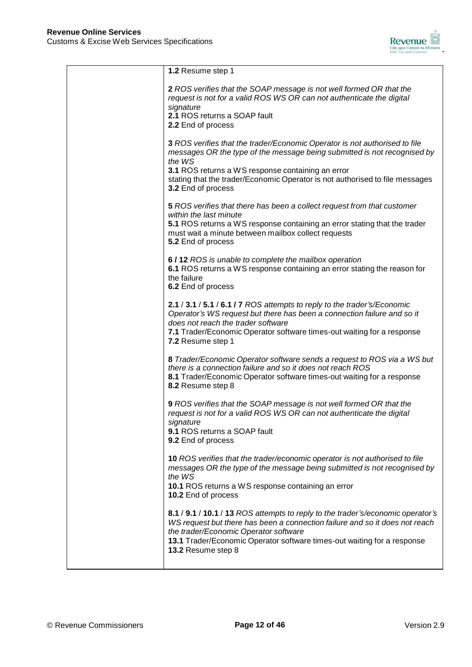

| 1.2 Resume step 1                                                                                                                                                                                                                                                                                                           |
|-----------------------------------------------------------------------------------------------------------------------------------------------------------------------------------------------------------------------------------------------------------------------------------------------------------------------------|
| 2 ROS verifies that the SOAP message is not well formed OR that the<br>request is not for a valid ROS WS OR can not authenticate the digital<br>signature<br>2.1 ROS returns a SOAP fault<br>2.2 End of process                                                                                                             |
| 3 ROS verifies that the trader/Economic Operator is not authorised to file<br>messages OR the type of the message being submitted is not recognised by<br>the WS<br>3.1 ROS returns a WS response containing an error<br>stating that the trader/Economic Operator is not authorised to file messages<br>3.2 End of process |
| 5 ROS verifies that there has been a collect request from that customer<br>within the last minute<br>5.1 ROS returns a WS response containing an error stating that the trader<br>must wait a minute between mailbox collect requests<br>5.2 End of process                                                                 |
| 6/12 ROS is unable to complete the mailbox operation<br>6.1 ROS returns a WS response containing an error stating the reason for<br>the failure<br>6.2 End of process                                                                                                                                                       |
| 2.1 / 3.1 / 5.1 / 6.1 / 7 ROS attempts to reply to the trader's/Economic<br>Operator's WS request but there has been a connection failure and so it<br>does not reach the trader software<br>7.1 Trader/Economic Operator software times-out waiting for a response<br>7.2 Resume step 1                                    |
| 8 Trader/Economic Operator software sends a request to ROS via a WS but<br>there is a connection failure and so it does not reach ROS<br>8.1 Trader/Economic Operator software times-out waiting for a response<br>8.2 Resume step 8                                                                                        |
| 9 ROS verifies that the SOAP message is not well formed OR that the<br>request is not for a valid ROS WS OR can not authenticate the digital<br>signature<br>9.1 ROS returns a SOAP fault<br>9.2 End of process                                                                                                             |
| 10 ROS verifies that the trader/economic operator is not authorised to file<br>messages OR the type of the message being submitted is not recognised by<br>the WS<br>10.1 ROS returns a WS response containing an error<br>10.2 End of process                                                                              |
| 8.1 / 9.1 / 10.1 / 13 ROS attempts to reply to the trader's/economic operator's<br>WS request but there has been a connection failure and so it does not reach<br>the trader/Economic Operator software<br>13.1 Trader/Economic Operator software times-out waiting for a response<br>13.2 Resume step 8                    |
|                                                                                                                                                                                                                                                                                                                             |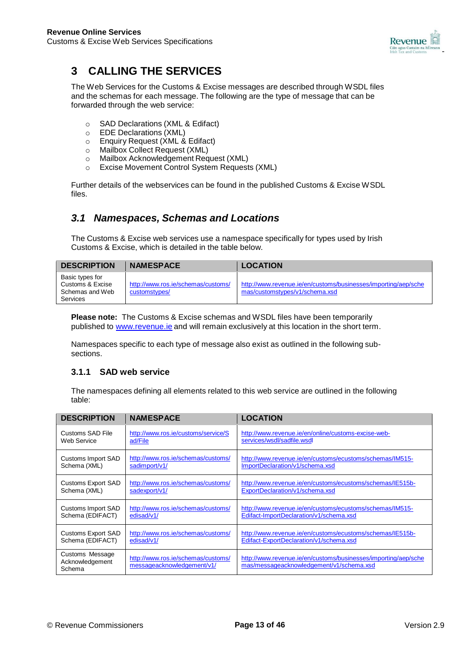

## **3 CALLING THE SERVICES**

The Web Services for the Customs & Excise messages are described through WSDL files and the schemas for each message. The following are the type of message that can be forwarded through the web service:

- SAD Declarations (XML & Edifact)<br>○ EDE Declarations (XML)
- EDE Declarations (XML)
- o Enquiry Request (XML & Edifact)
- o Mailbox Collect Request (XML)
- o Mailbox Acknowledgement Request (XML)
- o Excise Movement Control System Requests (XML)

Further details of the webservices can be found in the published Customs & Excise WSDL files.

## *3.1 Namespaces, Schemas and Locations*

The Customs & Excise web services use a namespace specifically for types used by Irish Customs & Excise, which is detailed in the table below.

| <b>DESCRIPTION</b>                                                 | <b>NAMESPACE</b>                                    | <b>LOCATION</b>                                                                                  |
|--------------------------------------------------------------------|-----------------------------------------------------|--------------------------------------------------------------------------------------------------|
| Basic types for<br>Customs & Excise<br>Schemas and Web<br>Services | http://www.ros.ie/schemas/customs/<br>customstypes/ | http://www.revenue.je/en/customs/businesses/importing/aep/sche<br>mas/customstypes/v1/schema.xsd |

**Please note:** The Customs & Excise schemas and WSDL files have been temporarily published to [www.revenue.ie](http://www.revenue.ie/) and will remain exclusively at this location in the short term.

Namespaces specific to each type of message also exist as outlined in the following subsections.

### **3.1.1 SAD web service**

| <b>DESCRIPTION</b>                           | <b>NAMESPACE</b>                                                 | <b>LOCATION</b>                                                                                            |
|----------------------------------------------|------------------------------------------------------------------|------------------------------------------------------------------------------------------------------------|
| Customs SAD File                             | http://www.ros.ie/customs/service/S                              | http://www.revenue.ie/en/online/customs-excise-web-                                                        |
| Web Service                                  | ad/File                                                          | services/wsdl/sadfile.wsdl                                                                                 |
| <b>Customs Import SAD</b>                    | http://www.ros.ie/schemas/customs/                               | http://www.revenue.ie/en/customs/ecustoms/schemas/IM515-                                                   |
| Schema (XML)                                 | sadimport/v1/                                                    | ImportDeclaration/v1/schema.xsd                                                                            |
| <b>Customs Export SAD</b>                    | http://www.ros.ie/schemas/customs/                               | http://www.revenue.ie/en/customs/ecustoms/schemas/IE515b-                                                  |
| Schema (XML)                                 | sadexport/v1/                                                    | ExportDeclaration/v1/schema.xsd                                                                            |
| Customs Import SAD                           | http://www.ros.ie/schemas/customs/                               | http://www.revenue.ie/en/customs/ecustoms/schemas/IM515-                                                   |
| Schema (EDIFACT)                             | edisad/v1/                                                       | Edifact-ImportDeclaration/v1/schema.xsd                                                                    |
| <b>Customs Export SAD</b>                    | http://www.ros.ie/schemas/customs/                               | http://www.revenue.ie/en/customs/ecustoms/schemas/IE515b-                                                  |
| Schema (EDIFACT)                             | edisad/v1/                                                       | Edifact-ExportDeclaration/v1/schema.xsd                                                                    |
| Customs Message<br>Acknowledgement<br>Schema | http://www.ros.ie/schemas/customs/<br>messageacknowledgement/v1/ | http://www.revenue.ie/en/customs/businesses/importing/aep/sche<br>mas/messageacknowledgement/v1/schema.xsd |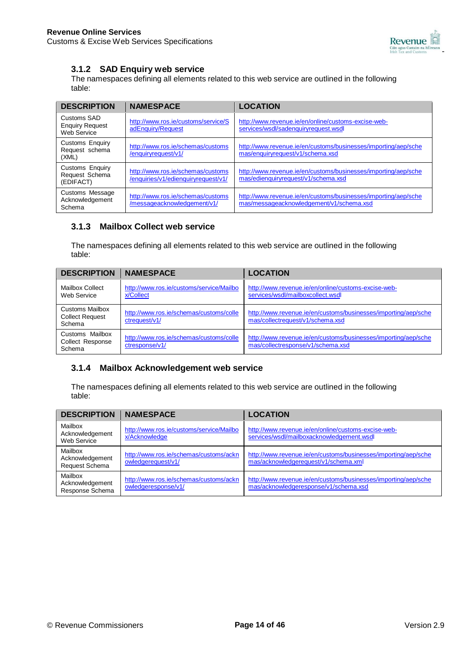

### **3.1.2 SAD Enquiry web service**

The namespaces defining all elements related to this web service are outlined in the following table:

| <b>DESCRIPTION</b>                                    | <b>NAMESPACE</b>                                                         | <b>LOCATION</b>                                                                                            |
|-------------------------------------------------------|--------------------------------------------------------------------------|------------------------------------------------------------------------------------------------------------|
| Customs SAD<br><b>Enquiry Request</b><br>Web Service  | http://www.ros.ie/customs/service/S<br>adEnguiry/Request                 | http://www.revenue.ie/en/online/customs-excise-web-<br>services/wsdl/sadenquiryrequest.wsdl                |
| <b>Customs Enquiry</b><br>Request schema<br>(XML)     | http://www.ros.ie/schemas/customs<br>/enquiryrequest/v1/                 | http://www.revenue.ie/en/customs/businesses/importing/aep/sche<br>mas/enquiryrequest/v1/schema.xsd         |
| <b>Customs Enquiry</b><br>Request Schema<br>(EDIFACT) | http://www.ros.ie/schemas/customs<br>/enquiries/v1/edienquiryrequest/v1/ | http://www.revenue.ie/en/customs/businesses/importing/aep/sche<br>mas/edienquiryrequest/v1/schema.xsd      |
| <b>Customs Message</b><br>Acknowledgement<br>Schema   | http://www.ros.ie/schemas/customs<br>/messageacknowledgement/v1/         | http://www.revenue.ie/en/customs/businesses/importing/aep/sche<br>mas/messageacknowledgement/v1/schema.xsd |

### **3.1.3 Mailbox Collect web service**

The namespaces defining all elements related to this web service are outlined in the following table:

| <b>DESCRIPTION</b>                                         | <b>NAMESPACE</b>                                          | <b>LOCATION</b>                                                                                     |
|------------------------------------------------------------|-----------------------------------------------------------|-----------------------------------------------------------------------------------------------------|
| <b>Mailbox Collect</b><br>Web Service                      | http://www.ros.ie/customs/service/Mailbo<br>x/Collect     | http://www.revenue.ie/en/online/customs-excise-web-<br>services/wsdl/mailboxcollect.wsdl            |
| <b>Customs Mailbox</b><br><b>Collect Request</b><br>Schema | http://www.ros.ie/schemas/customs/colle<br>ctrequest/v1/  | http://www.revenue.ie/en/customs/businesses/importing/aep/sche<br>mas/collectrequest/v1/schema.xsd  |
| Customs Mailbox<br><b>Collect Response</b><br>Schema       | http://www.ros.ie/schemas/customs/colle<br>ctresponse/v1/ | http://www.revenue.ie/en/customs/businesses/importing/aep/sche<br>mas/collectresponse/v1/schema.xsd |

### **3.1.4 Mailbox Acknowledgement web service**

| <b>DESCRIPTION</b>                            | <b>NAMESPACE</b>                                              | <b>LOCATION</b>                                                                                         |
|-----------------------------------------------|---------------------------------------------------------------|---------------------------------------------------------------------------------------------------------|
| Mailbox<br>Acknowledgement<br>Web Service     | http://www.ros.ie/customs/service/Mailbo<br>x/Acknowledge     | http://www.revenue.ie/en/online/customs-excise-web-<br>services/wsdl/mailboxacknowledgement.wsdl        |
| Mailbox<br>Acknowledgement<br>Request Schema  | http://www.ros.ie/schemas/customs/ackn<br>owledgerequest/v1/  | http://www.revenue.ie/en/customs/businesses/importing/aep/sche<br>mas/acknowledgerequest/v1/schema.xml  |
| Mailbox<br>Acknowledgement<br>Response Schema | http://www.ros.ie/schemas/customs/ackn<br>owledgeresponse/v1/ | http://www.revenue.ie/en/customs/businesses/importing/aep/sche<br>mas/acknowledgeresponse/v1/schema.xsd |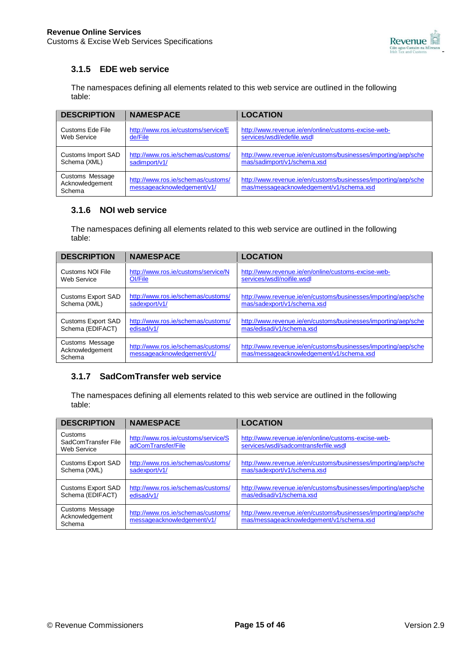

## **3.1.5 EDE web service**

The namespaces defining all elements related to this web service are outlined in the following table:

| <b>DESCRIPTION</b>                           | <b>NAMESPACE</b>                                                 | <b>LOCATION</b>                                                                                            |
|----------------------------------------------|------------------------------------------------------------------|------------------------------------------------------------------------------------------------------------|
| Customs Ede File                             | http://www.ros.ie/customs/service/E                              | http://www.revenue.ie/en/online/customs-excise-web-                                                        |
| Web Service                                  | de/File                                                          | services/wsdl/edefile.wsdl                                                                                 |
| Customs Import SAD                           | http://www.ros.ie/schemas/customs/                               | http://www.revenue.ie/en/customs/businesses/importing/aep/sche                                             |
| Schema (XML)                                 | sadimport/v1/                                                    | mas/sadimport/v1/schema.xsd                                                                                |
| Customs Message<br>Acknowledgement<br>Schema | http://www.ros.ie/schemas/customs/<br>messageacknowledgement/v1/ | http://www.revenue.ie/en/customs/businesses/importing/aep/sche<br>mas/messageacknowledgement/v1/schema.xsd |

### **3.1.6 NOI web service**

The namespaces defining all elements related to this web service are outlined in the following table:

| <b>DESCRIPTION</b>                           | <b>NAMESPACE</b>                                                 | <b>LOCATION</b>                                                                                            |
|----------------------------------------------|------------------------------------------------------------------|------------------------------------------------------------------------------------------------------------|
| Customs NOI File                             | http://www.ros.ie/customs/service/N                              | http://www.revenue.ie/en/online/customs-excise-web-                                                        |
| Web Service                                  | Ol/File                                                          | services/wsdl/noifile.wsdl                                                                                 |
| <b>Customs Export SAD</b>                    | http://www.ros.ie/schemas/customs/                               | http://www.revenue.ie/en/customs/businesses/importing/aep/sche                                             |
| Schema (XML)                                 | sadexport/v1/                                                    | mas/sadexport/v1/schema.xsd                                                                                |
| <b>Customs Export SAD</b>                    | http://www.ros.ie/schemas/customs/                               | http://www.revenue.ie/en/customs/businesses/importing/aep/sche                                             |
| Schema (EDIFACT)                             | edisad/v1/                                                       | mas/edisad/v1/schema.xsd                                                                                   |
| Customs Message<br>Acknowledgement<br>Schema | http://www.ros.ie/schemas/customs/<br>messageacknowledgement/v1/ | http://www.revenue.ie/en/customs/businesses/importing/aep/sche<br>mas/messageacknowledgement/v1/schema.xsd |

### **3.1.7 SadComTransfer web service**

| <b>DESCRIPTION</b>                            | <b>NAMESPACE</b>                                                 | <b>LOCATION</b>                                                                                            |
|-----------------------------------------------|------------------------------------------------------------------|------------------------------------------------------------------------------------------------------------|
| Customs<br>SadComTransfer File<br>Web Service | http://www.ros.ie/customs/service/S<br>adComTransfer/File        | http://www.revenue.ie/en/online/customs-excise-web-<br>services/wsdl/sadcomtransferfile.wsdl               |
| <b>Customs Export SAD</b><br>Schema (XML)     | http://www.ros.ie/schemas/customs/<br>sadexport/v1/              | http://www.revenue.ie/en/customs/businesses/importing/aep/sche<br>mas/sadexport/v1/schema.xsd              |
| <b>Customs Export SAD</b><br>Schema (EDIFACT) | http://www.ros.ie/schemas/customs/<br>edisad/v1/                 | http://www.revenue.ie/en/customs/businesses/importing/aep/sche<br>mas/edisad/v1/schema.xsd                 |
| Customs Message<br>Acknowledgement<br>Schema  | http://www.ros.ie/schemas/customs/<br>messageacknowledgement/v1/ | http://www.revenue.ie/en/customs/businesses/importing/aep/sche<br>mas/messageacknowledgement/v1/schema.xsd |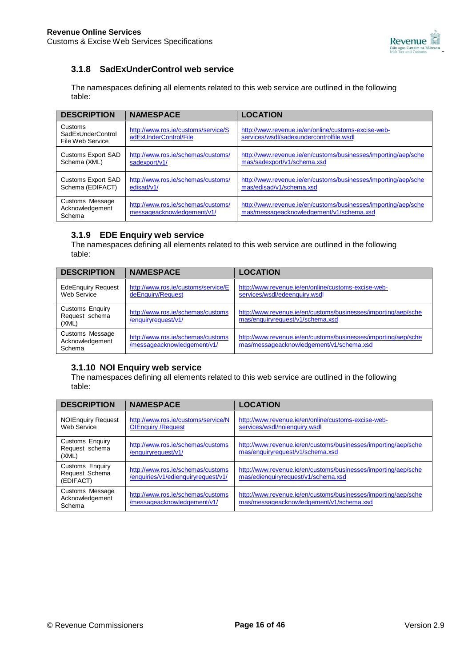

## **3.1.8 SadExUnderControl web service**

The namespaces defining all elements related to this web service are outlined in the following table:

| <b>DESCRIPTION</b>                               | <b>NAMESPACE</b>                                                 | <b>LOCATION</b>                                                                                            |
|--------------------------------------------------|------------------------------------------------------------------|------------------------------------------------------------------------------------------------------------|
| Customs<br>SadExUnderControl<br>File Web Service | http://www.ros.ie/customs/service/S<br>adExUnderControl/File     | http://www.revenue.ie/en/online/customs-excise-web-<br>services/wsdl/sadexundercontrolfile.wsdl            |
| <b>Customs Export SAD</b><br>Schema (XML)        | http://www.ros.ie/schemas/customs/<br>sadexport/v1/              | http://www.revenue.ie/en/customs/businesses/importing/aep/sche<br>mas/sadexport/v1/schema.xsd              |
| <b>Customs Export SAD</b><br>Schema (EDIFACT)    | http://www.ros.ie/schemas/customs/<br>edisad/v1/                 | http://www.revenue.ie/en/customs/businesses/importing/aep/sche<br>mas/edisad/v1/schema.xsd                 |
| Customs Message<br>Acknowledgement<br>Schema     | http://www.ros.ie/schemas/customs/<br>messageacknowledgement/v1/ | http://www.revenue.ie/en/customs/businesses/importing/aep/sche<br>mas/messageacknowledgement/v1/schema.xsd |

### **3.1.9 EDE Enquiry web service**

The namespaces defining all elements related to this web service are outlined in the following table:

| <b>DESCRIPTION</b>                                | <b>NAMESPACE</b>                                                 | <b>LOCATION</b>                                                                                            |
|---------------------------------------------------|------------------------------------------------------------------|------------------------------------------------------------------------------------------------------------|
| <b>EdeEnquiry Request</b><br>Web Service          | http://www.ros.ie/customs/service/E<br>deEnquiry/Request         | http://www.revenue.ie/en/online/customs-excise-web-<br>services/wsdl/edeenquiry.wsdl                       |
| <b>Customs Enquiry</b><br>Request schema<br>(XML) | http://www.ros.ie/schemas/customs<br>/enquiryrequest/v1/         | http://www.revenue.ie/en/customs/businesses/importing/aep/sche<br>mas/enquiryrequest/v1/schema.xsd         |
| Customs Message<br>Acknowledgement<br>Schema      | http://www.ros.ie/schemas/customs<br>/messageacknowledgement/v1/ | http://www.revenue.ie/en/customs/businesses/importing/aep/sche<br>mas/messageacknowledgement/v1/schema.xsd |

## **3.1.10 NOI Enquiry web service**

| <b>DESCRIPTION</b>                                    | <b>NAMESPACE</b>                                                         | <b>LOCATION</b>                                                                                            |
|-------------------------------------------------------|--------------------------------------------------------------------------|------------------------------------------------------------------------------------------------------------|
| <b>NOIEnquiry Request</b><br>Web Service              | http://www.ros.ie/customs/service/N<br><b>OlEnquiry / Request</b>        | http://www.revenue.ie/en/online/customs-excise-web-<br>services/wsdl/noienquiry.wsdl                       |
| <b>Customs Enquiry</b><br>Request schema<br>(XML)     | http://www.ros.ie/schemas/customs<br>/enquiryrequest/v1/                 | http://www.revenue.ie/en/customs/businesses/importing/aep/sche<br>mas/enquiryrequest/v1/schema.xsd         |
| <b>Customs Enquiry</b><br>Request Schema<br>(EDIFACT) | http://www.ros.ie/schemas/customs<br>/enquiries/v1/edienquiryrequest/v1/ | http://www.revenue.ie/en/customs/businesses/importing/aep/sche<br>mas/edienquiryrequest/v1/schema.xsd      |
| Customs Message<br>Acknowledgement<br>Schema          | http://www.ros.ie/schemas/customs<br>/messageacknowledgement/v1/         | http://www.revenue.ie/en/customs/businesses/importing/aep/sche<br>mas/messageacknowledgement/v1/schema.xsd |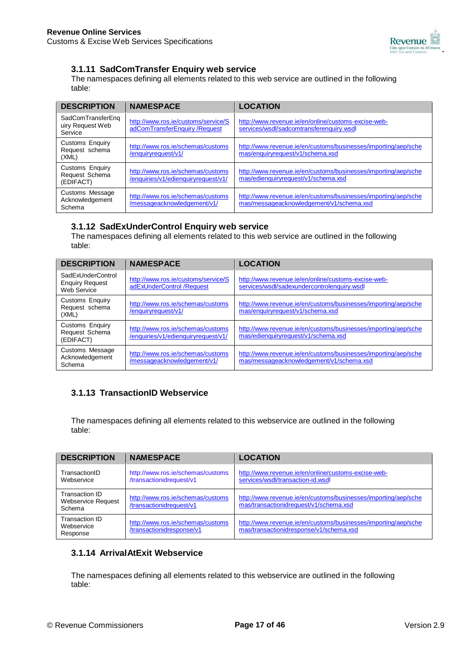

### **3.1.11 SadComTransfer Enquiry web service**

The namespaces defining all elements related to this web service are outlined in the following table:

| <b>DESCRIPTION</b>                                | <b>NAMESPACE</b>                                                         | <b>LOCATION</b>                                                                                            |
|---------------------------------------------------|--------------------------------------------------------------------------|------------------------------------------------------------------------------------------------------------|
| SadComTransferEng<br>uiry Request Web<br>Service  | http://www.ros.ie/customs/service/S<br>adComTransferEnquiry / Request    | http://www.revenue.ie/en/online/customs-excise-web-<br>services/wsdl/sadcomtransferenguiry.wsdl            |
| <b>Customs Enquiry</b><br>Request schema<br>(XML) | http://www.ros.ie/schemas/customs<br>/enquiryrequest/v1/                 | http://www.revenue.ie/en/customs/businesses/importing/aep/sche<br>mas/enquiryrequest/v1/schema.xsd         |
| Customs Enquiry<br>Request Schema<br>(EDIFACT)    | http://www.ros.ie/schemas/customs<br>/enquiries/v1/edienquiryrequest/v1/ | http://www.revenue.ie/en/customs/businesses/importing/aep/sche<br>mas/edienquiryrequest/v1/schema.xsd      |
| Customs Message<br>Acknowledgement<br>Schema      | http://www.ros.ie/schemas/customs<br>/messageacknowledgement/v1/         | http://www.revenue.ie/en/customs/businesses/importing/aep/sche<br>mas/messageacknowledgement/v1/schema.xsd |

### **3.1.12 SadExUnderControl Enquiry web service**

The namespaces defining all elements related to this web service are outlined in the following table:

| <b>DESCRIPTION</b>                                         | <b>NAMESPACE</b>                                                         | <b>LOCATION</b>                                                                                            |
|------------------------------------------------------------|--------------------------------------------------------------------------|------------------------------------------------------------------------------------------------------------|
| SadExUnderControl<br><b>Enquiry Request</b><br>Web Service | http://www.ros.ie/customs/service/S<br>adExUnderControl /Request         | http://www.revenue.ie/en/online/customs-excise-web-<br>services/wsdl/sadexundercontrolenquiry.wsdl         |
| <b>Customs Enquiry</b><br>Request schema<br>(XML)          | http://www.ros.ie/schemas/customs<br>/enquiryrequest/v1/                 | http://www.revenue.ie/en/customs/businesses/importing/aep/sche<br>mas/enquiryrequest/v1/schema.xsd         |
| Customs Enquiry<br>Request Schema<br>(EDIFACT)             | http://www.ros.ie/schemas/customs<br>/enquiries/v1/edienquiryrequest/v1/ | http://www.revenue.ie/en/customs/businesses/importing/aep/sche<br>mas/edienquiryrequest/v1/schema.xsd      |
| Customs Message<br>Acknowledgement<br>Schema               | http://www.ros.ie/schemas/customs<br>/messageacknowledgement/v1/         | http://www.revenue.ie/en/customs/businesses/importing/aep/sche<br>mas/messageacknowledgement/v1/schema.xsd |

## **3.1.13 TransactionID Webservice**

The namespaces defining all elements related to this webservice are outlined in the following table:

| <b>DESCRIPTION</b>                                    | <b>NAMESPACE</b>                                               | <b>LOCATION</b>                                                                                           |
|-------------------------------------------------------|----------------------------------------------------------------|-----------------------------------------------------------------------------------------------------------|
| TransactionID<br>Webservice                           | http://www.ros.ie/schemas/customs<br>/transactionidrequest/v1  | http://www.revenue.ie/en/online/customs-excise-web-<br>services/wsdl/transaction-id.wsdl                  |
| Transaction ID<br><b>Webservice Request</b><br>Schema | http://www.ros.ie/schemas/customs<br>/transactionidrequest/v1  | http://www.revenue.ie/en/customs/businesses/importing/aep/sche<br>mas/transactionidrequest/v1/schema.xsd  |
| Transaction ID<br>Webservice<br>Response              | http://www.ros.ie/schemas/customs<br>/transactionidresponse/v1 | http://www.revenue.ie/en/customs/businesses/importing/aep/sche<br>mas/transactionidresponse/v1/schema.xsd |

## **3.1.14 ArrivalAtExit Webservice**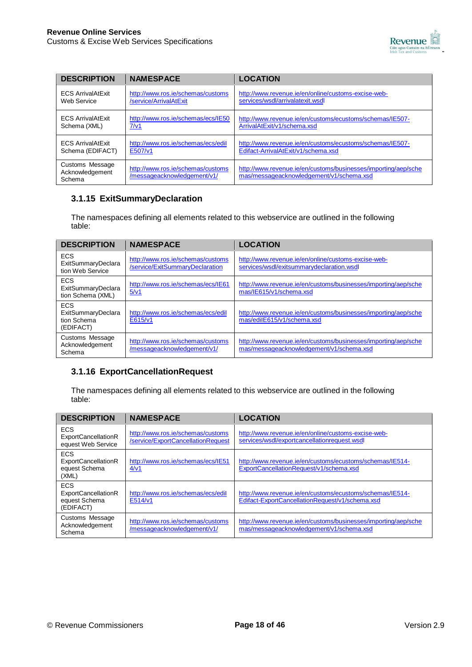

| <b>DESCRIPTION</b>                           | <b>NAMESPACE</b>                                                 | <b>LOCATION</b>                                                                                            |
|----------------------------------------------|------------------------------------------------------------------|------------------------------------------------------------------------------------------------------------|
| <b>ECS ArrivalAtExit</b>                     | http://www.ros.ie/schemas/customs                                | http://www.revenue.ie/en/online/customs-excise-web-                                                        |
| Web Service                                  | /service/ArrivalAtExit                                           | services/wsdl/arrivalatexit.wsdl                                                                           |
| <b>ECS ArrivalAtExit</b>                     | http://www.ros.ie/schemas/ecs/IE50                               | http://www.revenue.ie/en/customs/ecustoms/schemas/IE507-                                                   |
| Schema (XML)                                 | 7/v1                                                             | ArrivalAtExit/v1/schema.xsd                                                                                |
| <b>ECS ArrivalAtExit</b>                     | http://www.ros.ie/schemas/ecs/edil                               | http://www.revenue.ie/en/customs/ecustoms/schemas/IE507-                                                   |
| Schema (EDIFACT)                             | E507/v1                                                          | Edifact-ArrivalAtExit/v1/schema.xsd                                                                        |
| Customs Message<br>Acknowledgement<br>Schema | http://www.ros.ie/schemas/customs<br>/messageacknowledgement/v1/ | http://www.revenue.ie/en/customs/businesses/importing/aep/sche<br>mas/messageacknowledgement/v1/schema.xsd |

### **3.1.15 ExitSummaryDeclaration**

The namespaces defining all elements related to this webservice are outlined in the following table:

| <b>DESCRIPTION</b>                                           | <b>NAMESPACE</b>                                                     | <b>LOCATION</b>                                                                                            |
|--------------------------------------------------------------|----------------------------------------------------------------------|------------------------------------------------------------------------------------------------------------|
| <b>ECS</b><br>ExitSummaryDeclara<br>tion Web Service         | http://www.ros.ie/schemas/customs<br>/service/ExitSummaryDeclaration | http://www.revenue.ie/en/online/customs-excise-web-<br>services/wsdl/exitsummarydeclaration.wsdl           |
| ECS<br>ExitSummaryDeclara<br>tion Schema (XML)               | http://www.ros.ie/schemas/ecs/IE61<br>5/v1                           | http://www.revenue.ie/en/customs/businesses/importing/aep/sche<br>mas/IE615/v1/schema.xsd                  |
| <b>ECS</b><br>ExitSummaryDeclara<br>tion Schema<br>(EDIFACT) | http://www.ros.ie/schemas/ecs/edil<br>E615/v1                        | http://www.revenue.ie/en/customs/businesses/importing/aep/sche<br>mas/edilE615/v1/schema.xsd               |
| Customs Message<br>Acknowledgement<br>Schema                 | http://www.ros.ie/schemas/customs<br>/messageacknowledgement/v1/     | http://www.revenue.ie/en/customs/businesses/importing/aep/sche<br>mas/messageacknowledgement/v1/schema.xsd |

### **3.1.16 ExportCancellationRequest**

| <b>DESCRIPTION</b>                                                 | <b>NAMESPACE</b>                                                        | <b>LOCATION</b>                                                                                             |
|--------------------------------------------------------------------|-------------------------------------------------------------------------|-------------------------------------------------------------------------------------------------------------|
| <b>ECS</b><br><b>ExportCancellationR</b><br>equest Web Service     | http://www.ros.ie/schemas/customs<br>/service/ExportCancellationRequest | http://www.revenue.ie/en/online/customs-excise-web-<br>services/wsdl/exportcancellationrequest.wsdl         |
| <b>ECS</b><br><b>ExportCancellationR</b><br>equest Schema<br>(XML) | http://www.ros.ie/schemas/ecs/IE51<br>4/v1                              | http://www.revenue.ie/en/customs/ecustoms/schemas/IE514-<br>ExportCancellationRequest/v1/schema.xsd         |
| <b>ECS</b><br>ExportCancellationR<br>equest Schema<br>(EDIFACT)    | http://www.ros.ie/schemas/ecs/edil<br>E514/v1                           | http://www.revenue.ie/en/customs/ecustoms/schemas/IE514-<br>Edifact-ExportCancellationRequest/v1/schema.xsd |
| Customs Message<br>Acknowledgement<br>Schema                       | http://www.ros.ie/schemas/customs<br>/messageacknowledgement/v1/        | http://www.revenue.ie/en/customs/businesses/importing/aep/sche<br>mas/messageacknowledgement/v1/schema.xsd  |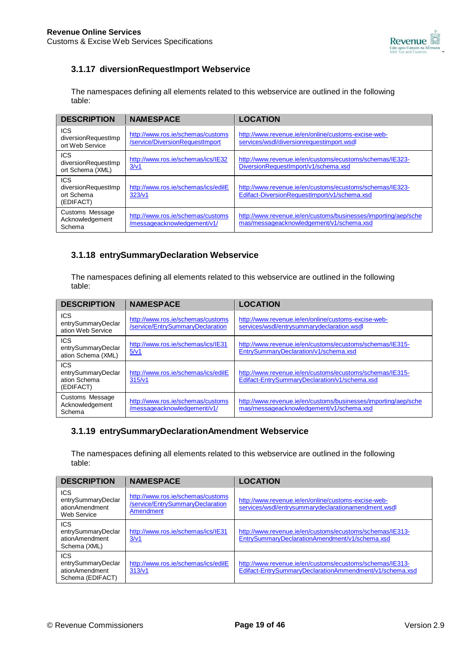

## **3.1.17 diversionRequestImport Webservice**

The namespaces defining all elements related to this webservice are outlined in the following table:

| <b>DESCRIPTION</b>                                           | <b>NAMESPACE</b>                                                     | <b>LOCATION</b>                                                                                            |
|--------------------------------------------------------------|----------------------------------------------------------------------|------------------------------------------------------------------------------------------------------------|
| <b>ICS</b><br>diversionRequestImp<br>ort Web Service         | http://www.ros.ie/schemas/customs<br>/service/DiversionRequestImport | http://www.revenue.ie/en/online/customs-excise-web-<br>services/wsdl/diversionrequestimport.wsdl           |
| <b>ICS</b><br>diversionRequestImp<br>ort Schema (XML)        | http://www.ros.ie/schemas/ics/IE32<br>3/v1                           | http://www.revenue.ie/en/customs/ecustoms/schemas/IE323-<br>DiversionRequestImport/v1/schema.xsd           |
| <b>ICS</b><br>diversionRequestImp<br>ort Schema<br>(EDIFACT) | http://www.ros.ie/schemas/ics/edilE<br>323/v1                        | http://www.revenue.ie/en/customs/ecustoms/schemas/IE323-<br>Edifact-DiversionRequestImport/v1/schema.xsd   |
| Customs Message<br>Acknowledgement<br>Schema                 | http://www.ros.ie/schemas/customs<br>/messageacknowledgement/v1/     | http://www.revenue.ie/en/customs/businesses/importing/aep/sche<br>mas/messageacknowledgement/v1/schema.xsd |

### **3.1.18 entrySummaryDeclaration Webservice**

The namespaces defining all elements related to this webservice are outlined in the following table:

| <b>DESCRIPTION</b>                                            | <b>NAMESPACE</b>                                                      | <b>LOCATION</b>                                                                                            |
|---------------------------------------------------------------|-----------------------------------------------------------------------|------------------------------------------------------------------------------------------------------------|
| <b>ICS</b><br>entrySummaryDeclar<br>ation Web Service         | http://www.ros.ie/schemas/customs<br>/service/EntrySummaryDeclaration | http://www.revenue.ie/en/online/customs-excise-web-<br>services/wsdl/entrysummarydeclaration.wsdl          |
| <b>ICS</b><br>entrySummaryDeclar<br>ation Schema (XML)        | http://www.ros.ie/schemas/ics/IE31<br>5/v1                            | http://www.revenue.ie/en/customs/ecustoms/schemas/IE315-<br>EntrySummaryDeclaration/v1/schema.xsd          |
| <b>ICS</b><br>entrySummaryDeclar<br>ation Schema<br>(EDIFACT) | http://www.ros.ie/schemas/ics/edilE<br>315/v1                         | http://www.revenue.ie/en/customs/ecustoms/schemas/IE315-<br>Edifact-EntrySummaryDeclaration/v1/schema.xsd  |
| Customs Message<br>Acknowledgement<br>Schema                  | http://www.ros.ie/schemas/customs<br>/messageacknowledgement/v1/      | http://www.revenue.ie/en/customs/businesses/importing/aep/sche<br>mas/messageacknowledgement/v1/schema.xsd |

### **3.1.19 entrySummaryDeclarationAmendment Webservice**

| <b>DESCRIPTION</b>                                                     | <b>NAMESPACE</b>                                                                   | <b>LOCATION</b>                                                                                                     |
|------------------------------------------------------------------------|------------------------------------------------------------------------------------|---------------------------------------------------------------------------------------------------------------------|
| <b>ICS</b><br>entrySummaryDeclar<br>ationAmendment<br>Web Service      | http://www.ros.ie/schemas/customs<br>/service/EntrySummaryDeclaration<br>Amendment | http://www.revenue.ie/en/online/customs-excise-web-<br>services/wsdl/entrysummarydeclarationamendment.wsdl          |
| <b>ICS</b><br>entrySummaryDeclar<br>ationAmendment<br>Schema (XML)     | http://www.ros.ie/schemas/ics/IE31<br>3/v1                                         | http://www.revenue.ie/en/customs/ecustoms/schemas/IE313-<br>EntrySummaryDeclarationAmendment/v1/schema.xsd          |
| <b>ICS</b><br>entrySummaryDeclar<br>ationAmendment<br>Schema (EDIFACT) | http://www.ros.ie/schemas/ics/edilE<br>313/v1                                      | http://www.revenue.ie/en/customs/ecustoms/schemas/IE313-<br>Edifact-EntrySummaryDeclarationAmmendment/v1/schema.xsd |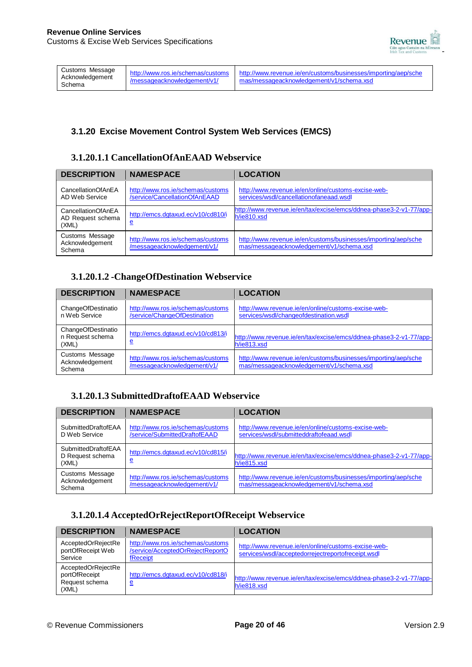

| Customs Message<br>Acknowledgement<br>Schema | http://www.ros.ie/schemas/customs<br>/messageacknowledgement/v1/ | http://www.revenue.je/en/customs/businesses/importing/aep/sche<br>I mas/messageacknowledgement/v1/schema.xsd |
|----------------------------------------------|------------------------------------------------------------------|--------------------------------------------------------------------------------------------------------------|
|                                              |                                                                  |                                                                                                              |

## **3.1.20 Excise Movement Control System Web Services (EMCS)**

### **3.1.20.1.1 CancellationOfAnEAAD Webservice**

| <b>DESCRIPTION</b>                               | <b>NAMESPACE</b>                                                   | <b>LOCATION</b>                                                                                            |
|--------------------------------------------------|--------------------------------------------------------------------|------------------------------------------------------------------------------------------------------------|
| CancellationOfAnEA<br>AD Web Service             | http://www.ros.ie/schemas/customs<br>/service/CancellationOfAnEAAD | http://www.revenue.ie/en/online/customs-excise-web-<br>services/wsdl/cancellationofaneaad.wsdl             |
| CancellationOfAnEA<br>AD Request schema<br>(XML) | http://emcs.dqtaxud.ec/v10/cd810/i<br><u>e</u>                     | http://www.revenue.ie/en/tax/excise/emcs/ddnea-phase3-2-v1-77/app-<br>h/ie810.xsd                          |
| Customs Message<br>Acknowledgement<br>Schema     | http://www.ros.ie/schemas/customs<br>/messageacknowledgement/v1/   | http://www.revenue.ie/en/customs/businesses/importing/aep/sche<br>mas/messageacknowledgement/v1/schema.xsd |

## **3.1.20.1.2 -ChangeOfDestination Webservice**

| <b>DESCRIPTION</b>                              | <b>NAMESPACE</b>                                                  | <b>LOCATION</b>                                                                                            |
|-------------------------------------------------|-------------------------------------------------------------------|------------------------------------------------------------------------------------------------------------|
| ChangeOfDestinatio<br>n Web Service             | http://www.ros.ie/schemas/customs<br>/service/ChangeOfDestination | http://www.revenue.ie/en/online/customs-excise-web-<br>services/wsdl/changeofdestination.wsdl              |
| ChangeOfDestinatio<br>n Request schema<br>(XML) | http://emcs.dgtaxud.ec/v10/cd813/i<br><u>e</u>                    | http://www.revenue.ie/en/tax/excise/emcs/ddnea-phase3-2-v1-77/app-<br>h/ie813.xsd                          |
| Customs Message<br>Acknowledgement<br>Schema    | http://www.ros.ie/schemas/customs<br>/messageacknowledgement/v1/  | http://www.revenue.ie/en/customs/businesses/importing/aep/sche<br>mas/messageacknowledgement/v1/schema.xsd |

## **3.1.20.1.3 SubmittedDraftofEAAD Webservice**

| <b>DESCRIPTION</b>                               | <b>NAMESPACE</b>                                                   | <b>LOCATION</b>                                                                                            |
|--------------------------------------------------|--------------------------------------------------------------------|------------------------------------------------------------------------------------------------------------|
| SubmittedDraftofEAA<br>D Web Service             | http://www.ros.ie/schemas/customs<br>/service/SubmittedDraftofEAAD | http://www.revenue.ie/en/online/customs-excise-web-<br>services/wsdl/submitteddraftofeaad.wsdl             |
| SubmittedDraftofEAA<br>D Request schema<br>(XML) | http://emcs.dqtaxud.ec/v10/cd815/i<br><u>e</u>                     | http://www.revenue.ie/en/tax/excise/emcs/ddnea-phase3-2-v1-77/app-<br>h/ie815.xsd                          |
| Customs Message<br>Acknowledgement<br>Schema     | http://www.ros.ie/schemas/customs<br>/messageacknowledgement/v1/   | http://www.revenue.ie/en/customs/businesses/importing/aep/sche<br>mas/messageacknowledgement/v1/schema.xsd |

## **3.1.20.1.4 AcceptedOrRejectReportOfReceipt Webservice**

| <b>DESCRIPTION</b>                                             | <b>NAMESPACE</b>                                                                  | <b>LOCATION</b>                                                                                           |
|----------------------------------------------------------------|-----------------------------------------------------------------------------------|-----------------------------------------------------------------------------------------------------------|
| AcceptedOrRejectRe<br>portOfReceipt Web<br>Service             | http://www.ros.ie/schemas/customs<br>/service/AcceptedOrRejectReportO<br>fReceipt | http://www.revenue.ie/en/online/customs-excise-web-<br>services/wsdl/acceptedorrejectreportofreceipt.wsdl |
| AcceptedOrRejectRe<br>portOfReceipt<br>Request schema<br>(XML) | http://emcs.dgtaxud.ec/v10/cd818/i<br><u>e</u>                                    | http://www.revenue.ie/en/tax/excise/emcs/ddnea-phase3-2-v1-77/app-<br>h/ie818.xsd                         |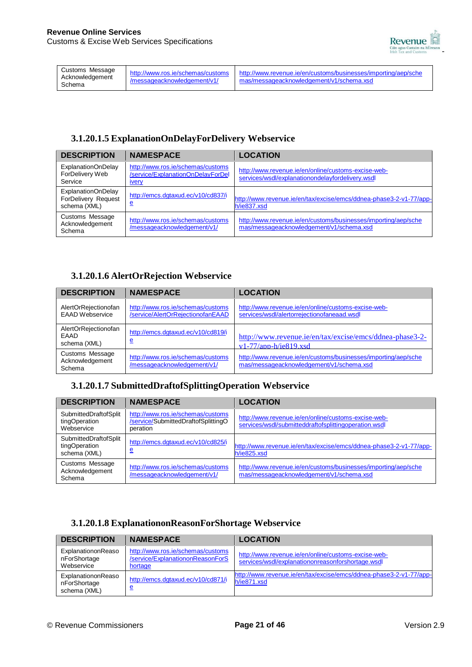

## **3.1.20.1.5 ExplanationOnDelayForDelivery Webservice**

| <b>DESCRIPTION</b>                                                      | <b>NAMESPACE</b>                                                                       | <b>LOCATION</b>                                                                                            |
|-------------------------------------------------------------------------|----------------------------------------------------------------------------------------|------------------------------------------------------------------------------------------------------------|
| ExplanationOnDelay<br>ForDelivery Web<br>Service                        | http://www.ros.ie/schemas/customs<br>/service/ExplanationOnDelayForDel<br><b>IVery</b> | http://www.revenue.ie/en/online/customs-excise-web-<br>services/wsdl/explanationondelayfordelivery.wsdl    |
| <b>ExplanationOnDelay</b><br><b>ForDelivery Request</b><br>schema (XML) | http://emcs.dgtaxud.ec/v10/cd837/i<br><u>e</u>                                         | http://www.revenue.ie/en/tax/excise/emcs/ddnea-phase3-2-v1-77/app-<br>h/ie837.xsd                          |
| Customs Message<br>Acknowledgement<br>Schema                            | http://www.ros.ie/schemas/customs<br>/messageacknowledgement/v1/                       | http://www.revenue.ie/en/customs/businesses/importing/aep/sche<br>mas/messageacknowledgement/v1/schema.xsd |

## **3.1.20.1.6 AlertOrRejection Webservice**

| <b>DESCRIPTION</b>                                  | <b>NAMESPACE</b>                                                       | <b>LOCATION</b>                                                                                            |
|-----------------------------------------------------|------------------------------------------------------------------------|------------------------------------------------------------------------------------------------------------|
| AlertOrRejectionofan<br><b>EAAD Webservice</b>      | http://www.ros.ie/schemas/customs<br>/service/AlertOrRejectionofanEAAD | http://www.revenue.ie/en/online/customs-excise-web-<br>services/wsdl/alertorrejectionofaneaad.wsdl         |
| AlertOrRejectionofan<br><b>EAAD</b><br>schema (XML) | http://emcs.dgtaxud.ec/v10/cd819/i<br><u>e</u>                         | http://www.revenue.ie/en/tax/excise/emcs/ddnea-phase3-2-<br>$v1-77/$ app-h/ie $819$ .xsd                   |
| Customs Message<br>Acknowledgement<br>Schema        | http://www.ros.ie/schemas/customs<br>/messageacknowledgement/v1/       | http://www.revenue.ie/en/customs/businesses/importing/aep/sche<br>mas/messageacknowledgement/v1/schema.xsd |

## **3.1.20.1.7 [SubmittedDraftofSplittingOperation](http://www.revenue.ie/en/online/customs-excise-web-services/wsdl/submitteddraftofsplittingoperation) Webservice**

| <b>DESCRIPTION</b>                                     | <b>NAMESPACE</b>                                                                     | <b>LOCATION</b>                                                                                              |
|--------------------------------------------------------|--------------------------------------------------------------------------------------|--------------------------------------------------------------------------------------------------------------|
| SubmittedDraftofSplit<br>tingOperation<br>Webservice   | http://www.ros.ie/schemas/customs<br>/service/SubmittedDraftofSplittingO<br>peration | http://www.revenue.ie/en/online/customs-excise-web-<br>services/wsdl/submitteddraftofsplittingoperation.wsdl |
| SubmittedDraftofSplit<br>tingOperation<br>schema (XML) | http://emcs.dqtaxud.ec/v10/cd825/i<br><u>e</u>                                       | http://www.revenue.ie/en/tax/excise/emcs/ddnea-phase3-2-v1-77/app-<br>h/ie825.xsd                            |
| Customs Message<br>Acknowledgement<br>Schema           | http://www.ros.ie/schemas/customs<br>/messageacknowledgement/v1/                     | http://www.revenue.ie/en/customs/businesses/importing/aep/sche<br>mas/messageacknowledgement/v1/schema.xsd   |

## **3.1.20.1.8 ExplanationonReasonForShortage Webservice**

| <b>DESCRIPTION</b>                                 | <b>NAMESPACE</b>                                                                 | <b>LOCATION</b>                                                                                          |
|----------------------------------------------------|----------------------------------------------------------------------------------|----------------------------------------------------------------------------------------------------------|
| ExplanationonReaso<br>nForShortage<br>Webservice   | http://www.ros.ie/schemas/customs<br>/service/ExplanationonReasonForS<br>hortage | http://www.revenue.ie/en/online/customs-excise-web-<br>services/wsdl/explanationonreasonforshortage.wsdl |
| ExplanationonReaso<br>nForShortage<br>schema (XML) | http://emcs.dqtaxud.ec/v10/cd871/i<br><u>e</u>                                   | http://www.revenue.je/en/tax/excise/emcs/ddnea-phase3-2-v1-77/app-<br>h/ie871.xsd                        |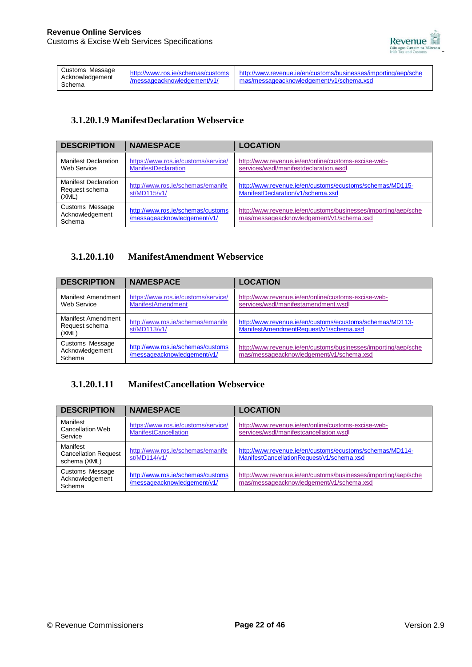

| Customs Message           |                             | http://www.ros.je/schemas/customs http://www.revenue.je/en/customs/businesses/importing/aep/sche |
|---------------------------|-----------------------------|--------------------------------------------------------------------------------------------------|
| Acknowledgement<br>Schema | /messageacknowledgement/v1/ | mas/messageacknowledgement/v1/schema.xsd                                                         |

### **3.1.20.1.9 ManifestDeclaration Webservice**

| <b>DESCRIPTION</b>                                     | <b>NAMESPACE</b>                                                  | <b>LOCATION</b>                                                                                            |
|--------------------------------------------------------|-------------------------------------------------------------------|------------------------------------------------------------------------------------------------------------|
| <b>Manifest Declaration</b><br>Web Service             | https://www.ros.ie/customs/service/<br><b>ManifestDeclaration</b> | http://www.revenue.ie/en/online/customs-excise-web-<br>services/wsdl/manifestdeclaration.wsdl              |
| <b>Manifest Declaration</b><br>Request schema<br>(XML) | http://www.ros.ie/schemas/emanife<br>st/MD115/v1/                 | http://www.revenue.ie/en/customs/ecustoms/schemas/MD115-<br>ManifestDeclaration/v1/schema.xsd              |
| Customs Message<br>Acknowledgement<br>Schema           | http://www.ros.ie/schemas/customs<br>/messageacknowledgement/v1/  | http://www.revenue.ie/en/customs/businesses/importing/aep/sche<br>mas/messageacknowledgement/v1/schema.xsd |

### **3.1.20.1.10 ManifestAmendment Webservice**

| <b>DESCRIPTION</b>                                   | <b>NAMESPACE</b>                                                 | <b>LOCATION</b>                                                                                            |
|------------------------------------------------------|------------------------------------------------------------------|------------------------------------------------------------------------------------------------------------|
| Manifest Amendment<br>Web Service                    | https://www.ros.ie/customs/service/<br><b>ManifestAmendment</b>  | http://www.revenue.ie/en/online/customs-excise-web-<br>services/wsdl/manifestamendment.wsdl                |
| <b>Manifest Amendment</b><br>Request schema<br>(XML) | http://www.ros.ie/schemas/emanife<br>st/MD113/v1/                | http://www.revenue.ie/en/customs/ecustoms/schemas/MD113-<br>ManifestAmendmentRequest/v1/schema.xsd         |
| Customs Message<br>Acknowledgement<br>Schema         | http://www.ros.ie/schemas/customs<br>/messageacknowledgement/v1/ | http://www.revenue.ie/en/customs/businesses/importing/aep/sche<br>mas/messageacknowledgement/v1/schema.xsd |

## **3.1.20.1.11 ManifestCancellation Webservice**

| <b>DESCRIPTION</b>                                      | <b>NAMESPACE</b>                                                   | <b>LOCATION</b>                                                                                            |
|---------------------------------------------------------|--------------------------------------------------------------------|------------------------------------------------------------------------------------------------------------|
| Manifest<br>Cancellation Web<br>Service                 | https://www.ros.ie/customs/service/<br><b>ManifestCancellation</b> | http://www.revenue.ie/en/online/customs-excise-web-<br>services/wsdl/manifestcancellation.wsdl             |
| Manifest<br><b>Cancellation Request</b><br>schema (XML) | http://www.ros.ie/schemas/emanife<br>st/MD114/v1/                  | http://www.revenue.ie/en/customs/ecustoms/schemas/MD114-<br>ManifestCancellationRequest/v1/schema.xsd      |
| Customs Message<br>Acknowledgement<br>Schema            | http://www.ros.ie/schemas/customs<br>/messageacknowledgement/v1/   | http://www.revenue.ie/en/customs/businesses/importing/aep/sche<br>mas/messageacknowledgement/v1/schema.xsd |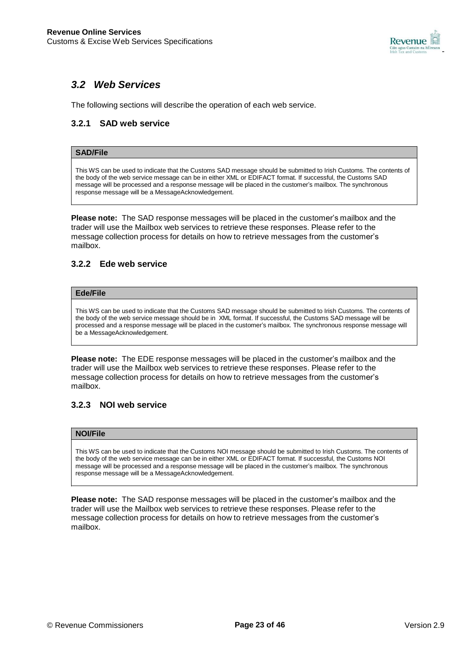

## *3.2 Web Services*

The following sections will describe the operation of each web service.

### **3.2.1 SAD web service**

### **SAD/File**

This WS can be used to indicate that the Customs SAD message should be submitted to Irish Customs. The contents of the body of the web service message can be in either XML or EDIFACT format. If successful, the Customs SAD message will be processed and a response message will be placed in the customer's mailbox. The synchronous response message will be a MessageAcknowledgement.

**Please note:** The SAD response messages will be placed in the customer's mailbox and the trader will use the Mailbox web services to retrieve these responses. Please refer to the message collection process for details on how to retrieve messages from the customer's mailbox.

### **3.2.2 Ede web service**

#### **Ede/File**

This WS can be used to indicate that the Customs SAD message should be submitted to Irish Customs. The contents of the body of the web service message should be in XML format. If successful, the Customs SAD message will be processed and a response message will be placed in the customer's mailbox. The synchronous response message will be a MessageAcknowledgement.

**Please note:** The EDE response messages will be placed in the customer's mailbox and the trader will use the Mailbox web services to retrieve these responses. Please refer to the message collection process for details on how to retrieve messages from the customer's mailbox.

#### **3.2.3 NOI web service**

#### **NOI/File**

This WS can be used to indicate that the Customs NOI message should be submitted to Irish Customs. The contents of the body of the web service message can be in either XML or EDIFACT format. If successful, the Customs NOI message will be processed and a response message will be placed in the customer's mailbox. The synchronous response message will be a MessageAcknowledgement.

**Please note:** The SAD response messages will be placed in the customer's mailbox and the trader will use the Mailbox web services to retrieve these responses. Please refer to the message collection process for details on how to retrieve messages from the customer's mailbox.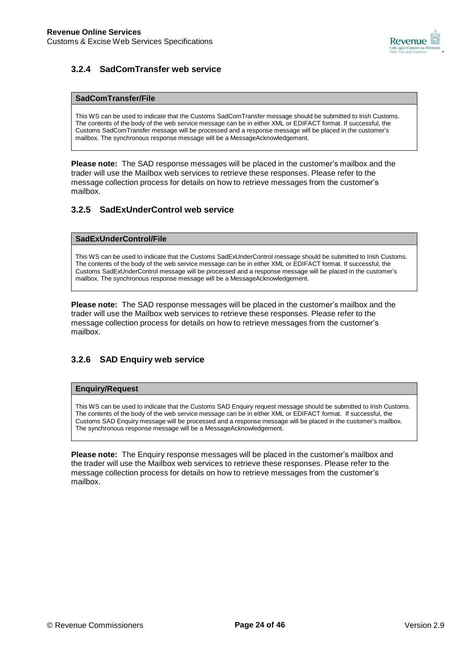

## **3.2.4 SadComTransfer web service**

#### **SadComTransfer/File**

This WS can be used to indicate that the Customs SadComTransfer message should be submitted to Irish Customs. The contents of the body of the web service message can be in either XML or EDIFACT format. If successful, the Customs SadComTransfer message will be processed and a response message will be placed in the customer's mailbox. The synchronous response message will be a MessageAcknowledgement.

**Please note:** The SAD response messages will be placed in the customer's mailbox and the trader will use the Mailbox web services to retrieve these responses. Please refer to the message collection process for details on how to retrieve messages from the customer's mailbox.

### **3.2.5 SadExUnderControl web service**

#### **SadExUnderControl/File**

This WS can be used to indicate that the Customs SadExUnderControl message should be submitted to Irish Customs. The contents of the body of the web service message can be in either XML or EDIFACT format. If successful, the Customs SadExUnderControl message will be processed and a response message will be placed in the customer's mailbox. The synchronous response message will be a MessageAcknowledgement.

**Please note:** The SAD response messages will be placed in the customer's mailbox and the trader will use the Mailbox web services to retrieve these responses. Please refer to the message collection process for details on how to retrieve messages from the customer's mailbox.

### **3.2.6 SAD Enquiry web service**

#### **Enquiry/Request**

This WS can be used to indicate that the Customs SAD Enquiry request message should be submitted to Irish Customs. The contents of the body of the web service message can be in either XML or EDIFACT format. If successful, the Customs SAD Enquiry message will be processed and a response message will be placed in the customer's mailbox. The synchronous response message will be a MessageAcknowledgement.

**Please note:** The Enquiry response messages will be placed in the customer's mailbox and the trader will use the Mailbox web services to retrieve these responses. Please refer to the message collection process for details on how to retrieve messages from the customer's mailbox.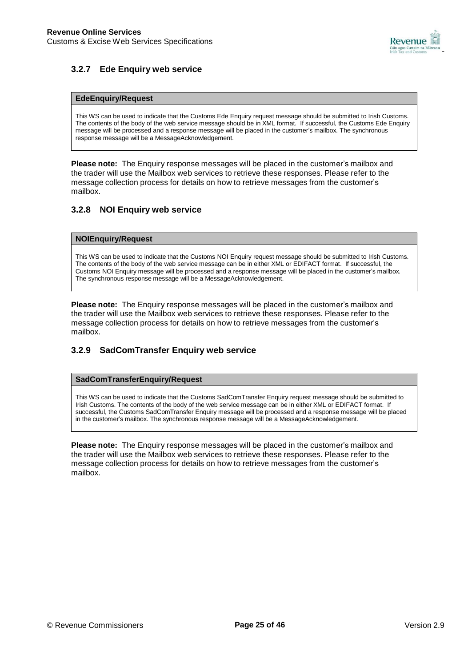

### **3.2.7 Ede Enquiry web service**

#### **EdeEnquiry/Request**

This WS can be used to indicate that the Customs Ede Enquiry request message should be submitted to Irish Customs. The contents of the body of the web service message should be in XML format. If successful, the Customs Ede Enquiry message will be processed and a response message will be placed in the customer's mailbox. The synchronous response message will be a MessageAcknowledgement.

**Please note:** The Enquiry response messages will be placed in the customer's mailbox and the trader will use the Mailbox web services to retrieve these responses. Please refer to the message collection process for details on how to retrieve messages from the customer's mailbox.

#### **3.2.8 NOI Enquiry web service**

#### **NOIEnquiry/Request**

This WS can be used to indicate that the Customs NOI Enquiry request message should be submitted to Irish Customs. The contents of the body of the web service message can be in either XML or EDIFACT format. If successful, the Customs NOI Enquiry message will be processed and a response message will be placed in the customer's mailbox. The synchronous response message will be a MessageAcknowledgement.

**Please note:** The Enquiry response messages will be placed in the customer's mailbox and the trader will use the Mailbox web services to retrieve these responses. Please refer to the message collection process for details on how to retrieve messages from the customer's mailbox.

#### **3.2.9 SadComTransfer Enquiry web service**

#### **SadComTransferEnquiry/Request**

This WS can be used to indicate that the Customs SadComTransfer Enquiry request message should be submitted to Irish Customs. The contents of the body of the web service message can be in either XML or EDIFACT format. If successful, the Customs SadComTransfer Enquiry message will be processed and a response message will be placed in the customer's mailbox. The synchronous response message will be a MessageAcknowledgement.

**Please note:** The Enquiry response messages will be placed in the customer's mailbox and the trader will use the Mailbox web services to retrieve these responses. Please refer to the message collection process for details on how to retrieve messages from the customer's mailbox.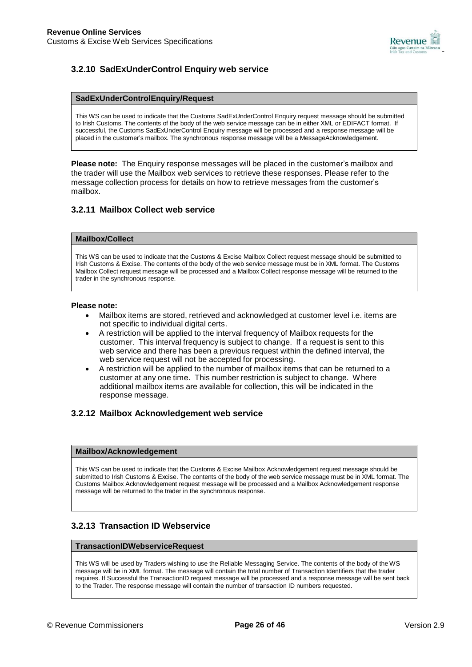

### **3.2.10 SadExUnderControl Enquiry web service**

#### **SadExUnderControlEnquiry/Request**

This WS can be used to indicate that the Customs SadExUnderControl Enquiry request message should be submitted to Irish Customs. The contents of the body of the web service message can be in either XML or EDIFACT format. If successful, the Customs SadExUnderControl Enquiry message will be processed and a response message will be placed in the customer's mailbox. The synchronous response message will be a MessageAcknowledgement.

**Please note:** The Enquiry response messages will be placed in the customer's mailbox and the trader will use the Mailbox web services to retrieve these responses. Please refer to the message collection process for details on how to retrieve messages from the customer's mailbox.

#### **3.2.11 Mailbox Collect web service**

#### **Mailbox/Collect**

This WS can be used to indicate that the Customs & Excise Mailbox Collect request message should be submitted to Irish Customs & Excise. The contents of the body of the web service message must be in XML format. The Customs Mailbox Collect request message will be processed and a Mailbox Collect response message will be returned to the trader in the synchronous response.

#### **Please note:**

- Mailbox items are stored, retrieved and acknowledged at customer level i.e. items are not specific to individual digital certs.
- A restriction will be applied to the interval frequency of Mailbox requests for the customer. This interval frequency is subject to change. If a request is sent to this web service and there has been a previous request within the defined interval, the web service request will not be accepted for processing.
- A restriction will be applied to the number of mailbox items that can be returned to a customer at any one time. This number restriction is subject to change. Where additional mailbox items are available for collection, this will be indicated in the response message.

#### **3.2.12 Mailbox Acknowledgement web service**

#### **Mailbox/Acknowledgement**

This WS can be used to indicate that the Customs & Excise Mailbox Acknowledgement request message should be submitted to Irish Customs & Excise. The contents of the body of the web service message must be in XML format. The Customs Mailbox Acknowledgement request message will be processed and a Mailbox Acknowledgement response message will be returned to the trader in the synchronous response.

### **3.2.13 Transaction ID Webservice**

#### **TransactionIDWebserviceRequest**

This WS will be used by Traders wishing to use the Reliable Messaging Service. The contents of the body of the WS message will be in XML format. The message will contain the total number of Transaction Identifiers that the trader requires. If Successful the TransactionID request message will be processed and a response message will be sent back to the Trader. The response message will contain the number of transaction ID numbers requested.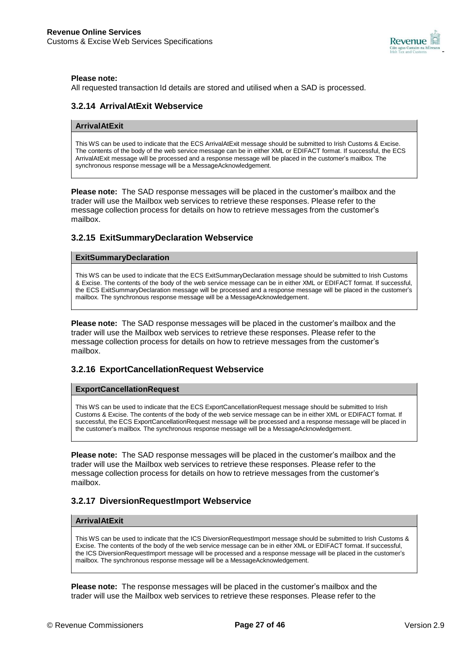

#### **Please note:**

All requested transaction Id details are stored and utilised when a SAD is processed.

#### **3.2.14 ArrivalAtExit Webservice**

#### **ArrivalAtExit**

This WS can be used to indicate that the ECS ArrivalAtExit message should be submitted to Irish Customs & Excise. The contents of the body of the web service message can be in either XML or EDIFACT format. If successful, the ECS ArrivalAtExit message will be processed and a response message will be placed in the customer's mailbox. The synchronous response message will be a MessageAcknowledgement.

**Please note:** The SAD response messages will be placed in the customer's mailbox and the trader will use the Mailbox web services to retrieve these responses. Please refer to the message collection process for details on how to retrieve messages from the customer's mailbox.

#### **3.2.15 ExitSummaryDeclaration Webservice**

#### **ExitSummaryDeclaration**

This WS can be used to indicate that the ECS ExitSummaryDeclaration message should be submitted to Irish Customs & Excise. The contents of the body of the web service message can be in either XML or EDIFACT format. If successful, the ECS ExitSummaryDeclaration message will be processed and a response message will be placed in the customer's mailbox. The synchronous response message will be a MessageAcknowledgement.

**Please note:** The SAD response messages will be placed in the customer's mailbox and the trader will use the Mailbox web services to retrieve these responses. Please refer to the message collection process for details on how to retrieve messages from the customer's mailbox.

#### **3.2.16 ExportCancellationRequest Webservice**

#### **ExportCancellationRequest**

This WS can be used to indicate that the ECS ExportCancellationRequest message should be submitted to Irish Customs & Excise. The contents of the body of the web service message can be in either XML or EDIFACT format. If successful, the ECS ExportCancellationRequest message will be processed and a response message will be placed in the customer's mailbox. The synchronous response message will be a MessageAcknowledgement.

**Please note:** The SAD response messages will be placed in the customer's mailbox and the trader will use the Mailbox web services to retrieve these responses. Please refer to the message collection process for details on how to retrieve messages from the customer's mailbox.

#### **3.2.17 DiversionRequestImport Webservice**

#### **ArrivalAtExit**

This WS can be used to indicate that the ICS DiversionRequestImport message should be submitted to Irish Customs & Excise. The contents of the body of the web service message can be in either XML or EDIFACT format. If successful, the ICS DiversionRequestImport message will be processed and a response message will be placed in the customer's mailbox. The synchronous response message will be a MessageAcknowledgement.

**Please note:** The response messages will be placed in the customer's mailbox and the trader will use the Mailbox web services to retrieve these responses. Please refer to the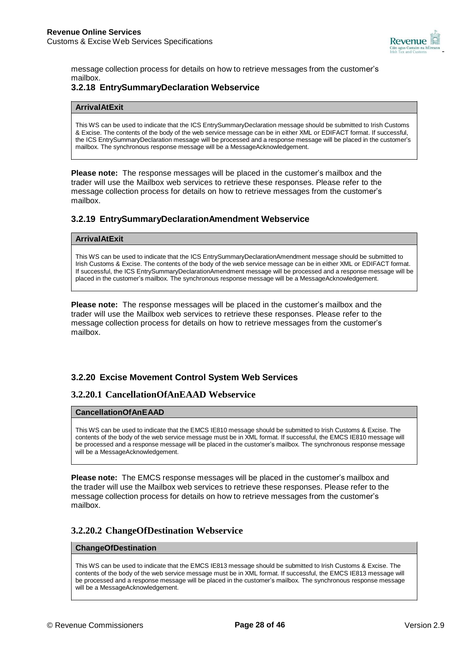

message collection process for details on how to retrieve messages from the customer's mailbox.

### **3.2.18 EntrySummaryDeclaration Webservice**

#### **ArrivalAtExit**

This WS can be used to indicate that the ICS EntrySummaryDeclaration message should be submitted to Irish Customs & Excise. The contents of the body of the web service message can be in either XML or EDIFACT format. If successful, the ICS EntrySummaryDeclaration message will be processed and a response message will be placed in the customer's mailbox. The synchronous response message will be a MessageAcknowledgement.

**Please note:** The response messages will be placed in the customer's mailbox and the trader will use the Mailbox web services to retrieve these responses. Please refer to the message collection process for details on how to retrieve messages from the customer's mailbox.

#### **3.2.19 EntrySummaryDeclarationAmendment Webservice**

#### **ArrivalAtExit**

This WS can be used to indicate that the ICS EntrySummaryDeclarationAmendment message should be submitted to Irish Customs & Excise. The contents of the body of the web service message can be in either XML or EDIFACT format. If successful, the ICS EntrySummaryDeclarationAmendment message will be processed and a response message will be placed in the customer's mailbox. The synchronous response message will be a MessageAcknowledgement.

**Please note:** The response messages will be placed in the customer's mailbox and the trader will use the Mailbox web services to retrieve these responses. Please refer to the message collection process for details on how to retrieve messages from the customer's mailbox.

#### **3.2.20 Excise Movement Control System Web Services**

#### **3.2.20.1 CancellationOfAnEAAD Webservice**

#### **CancellationOfAnEAAD**

This WS can be used to indicate that the EMCS IE810 message should be submitted to Irish Customs & Excise. The contents of the body of the web service message must be in XML format. If successful, the EMCS IE810 message will be processed and a response message will be placed in the customer's mailbox. The synchronous response message will be a MessageAcknowledgement.

**Please note:** The EMCS response messages will be placed in the customer's mailbox and the trader will use the Mailbox web services to retrieve these responses. Please refer to the message collection process for details on how to retrieve messages from the customer's mailbox.

#### **3.2.20.2 ChangeOfDestination Webservice**

#### **ChangeOfDestination**

This WS can be used to indicate that the EMCS IE813 message should be submitted to Irish Customs & Excise. The contents of the body of the web service message must be in XML format. If successful, the EMCS IE813 message will be processed and a response message will be placed in the customer's mailbox. The synchronous response message will be a MessageAcknowledgement.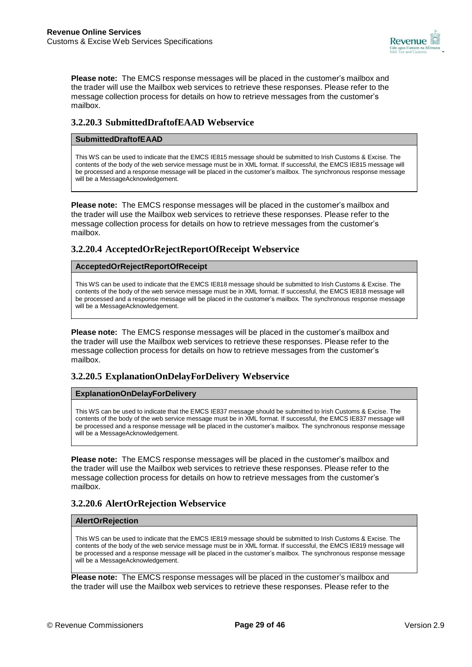

**Please note:** The EMCS response messages will be placed in the customer's mailbox and the trader will use the Mailbox web services to retrieve these responses. Please refer to the message collection process for details on how to retrieve messages from the customer's mailbox.

### **3.2.20.3 SubmittedDraftofEAAD Webservice**

#### **SubmittedDraftofEAAD**

This WS can be used to indicate that the EMCS IE815 message should be submitted to Irish Customs & Excise. The contents of the body of the web service message must be in XML format. If successful, the EMCS IE815 message will be processed and a response message will be placed in the customer's mailbox. The synchronous response message will be a MessageAcknowledgement.

**Please note:** The EMCS response messages will be placed in the customer's mailbox and the trader will use the Mailbox web services to retrieve these responses. Please refer to the message collection process for details on how to retrieve messages from the customer's mailbox.

### **3.2.20.4 AcceptedOrRejectReportOfReceipt Webservice**

#### **AcceptedOrRejectReportOfReceipt**

This WS can be used to indicate that the EMCS IE818 message should be submitted to Irish Customs & Excise. The contents of the body of the web service message must be in XML format. If successful, the EMCS IE818 message will be processed and a response message will be placed in the customer's mailbox. The synchronous response message will be a MessageAcknowledgement.

**Please note:** The EMCS response messages will be placed in the customer's mailbox and the trader will use the Mailbox web services to retrieve these responses. Please refer to the message collection process for details on how to retrieve messages from the customer's mailbox.

#### **3.2.20.5 ExplanationOnDelayForDelivery Webservice**

#### **ExplanationOnDelayForDelivery**

This WS can be used to indicate that the EMCS IE837 message should be submitted to Irish Customs & Excise. The contents of the body of the web service message must be in XML format. If successful, the EMCS IE837 message will be processed and a response message will be placed in the customer's mailbox. The synchronous response message will be a MessageAcknowledgement.

**Please note:** The EMCS response messages will be placed in the customer's mailbox and the trader will use the Mailbox web services to retrieve these responses. Please refer to the message collection process for details on how to retrieve messages from the customer's mailbox.

#### **3.2.20.6 AlertOrRejection Webservice**

#### **AlertOrRejection**

This WS can be used to indicate that the EMCS IE819 message should be submitted to Irish Customs & Excise. The contents of the body of the web service message must be in XML format. If successful, the EMCS IE819 message will be processed and a response message will be placed in the customer's mailbox. The synchronous response message will be a MessageAcknowledgement.

**Please note:** The EMCS response messages will be placed in the customer's mailbox and the trader will use the Mailbox web services to retrieve these responses. Please refer to the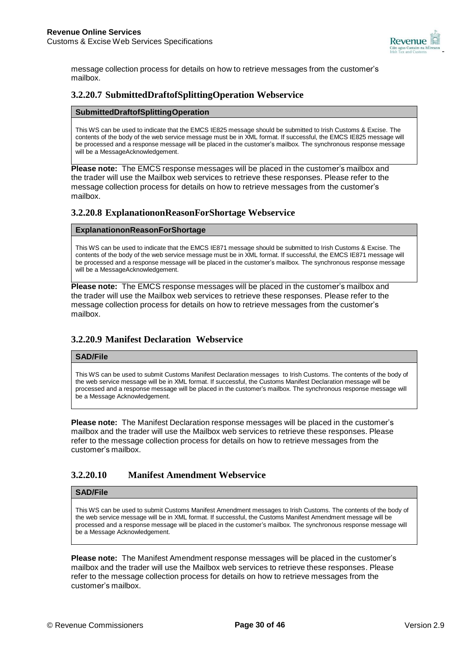

message collection process for details on how to retrieve messages from the customer's mailbox.

### **3.2.20.7 [SubmittedDraftofSplittingOperation](http://www.revenue.ie/en/online/customs-excise-web-services/wsdl/submitteddraftofsplittingoperation) Webservice**

#### **SubmittedDraftofSplittingOperation**

This WS can be used to indicate that the EMCS IE825 message should be submitted to Irish Customs & Excise. The contents of the body of the web service message must be in XML format. If successful, the EMCS IE825 message will be processed and a response message will be placed in the customer's mailbox. The synchronous response message will be a MessageAcknowledgement.

**Please note:** The EMCS response messages will be placed in the customer's mailbox and the trader will use the Mailbox web services to retrieve these responses. Please refer to the message collection process for details on how to retrieve messages from the customer's mailbox.

### **3.2.20.8 ExplanationonReasonForShortage Webservice**

#### **ExplanationonReasonForShortage**

This WS can be used to indicate that the EMCS IE871 message should be submitted to Irish Customs & Excise. The contents of the body of the web service message must be in XML format. If successful, the EMCS IE871 message will be processed and a response message will be placed in the customer's mailbox. The synchronous response message will be a MessageAcknowledgement.

**Please note:** The EMCS response messages will be placed in the customer's mailbox and the trader will use the Mailbox web services to retrieve these responses. Please refer to the message collection process for details on how to retrieve messages from the customer's mailbox.

### **3.2.20.9 Manifest Declaration Webservice**

#### **SAD/File**

This WS can be used to submit Customs Manifest Declaration messages to Irish Customs. The contents of the body of the web service message will be in XML format. If successful, the Customs Manifest Declaration message will be processed and a response message will be placed in the customer's mailbox. The synchronous response message will be a Message Acknowledgement.

**Please note:** The Manifest Declaration response messages will be placed in the customer's mailbox and the trader will use the Mailbox web services to retrieve these responses. Please refer to the message collection process for details on how to retrieve messages from the customer's mailbox.

### **3.2.20.10 Manifest Amendment Webservice**

#### **SAD/File**

This WS can be used to submit Customs Manifest Amendment messages to Irish Customs. The contents of the body of the web service message will be in XML format. If successful, the Customs Manifest Amendment message will be processed and a response message will be placed in the customer's mailbox. The synchronous response message will be a Message Acknowledgement.

**Please note:** The Manifest Amendment response messages will be placed in the customer's mailbox and the trader will use the Mailbox web services to retrieve these responses. Please refer to the message collection process for details on how to retrieve messages from the customer's mailbox.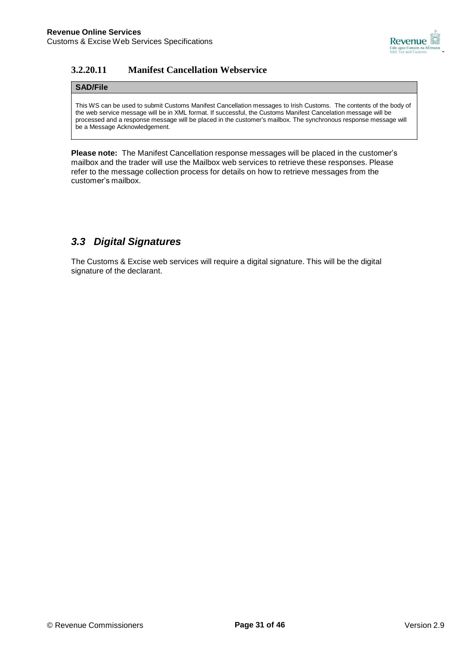

## **3.2.20.11 Manifest Cancellation Webservice**

#### **SAD/File**

This WS can be used to submit Customs Manifest Cancellation messages to Irish Customs. The contents of the body of the web service message will be in XML format. If successful, the Customs Manifest Cancelation message will be processed and a response message will be placed in the customer's mailbox. The synchronous response message will be a Message Acknowledgement.

**Please note:** The Manifest Cancellation response messages will be placed in the customer's mailbox and the trader will use the Mailbox web services to retrieve these responses. Please refer to the message collection process for details on how to retrieve messages from the customer's mailbox.

## *3.3 Digital Signatures*

The Customs & Excise web services will require a digital signature. This will be the digital signature of the declarant.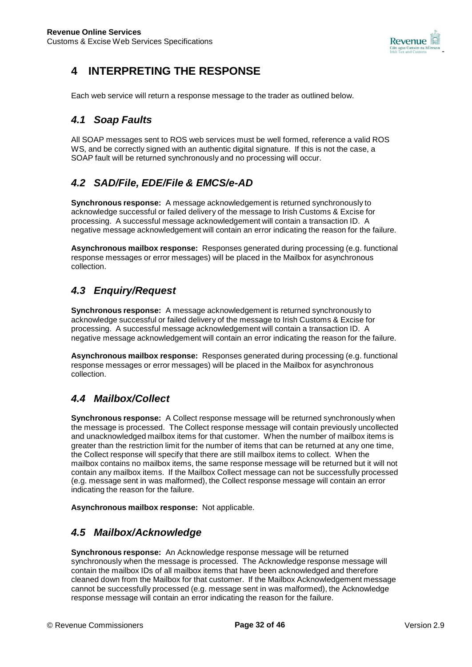

## **4 INTERPRETING THE RESPONSE**

Each web service will return a response message to the trader as outlined below.

## *4.1 Soap Faults*

All SOAP messages sent to ROS web services must be well formed, reference a valid ROS WS, and be correctly signed with an authentic digital signature. If this is not the case, a SOAP fault will be returned synchronously and no processing will occur.

## *4.2 SAD/File, EDE/File & EMCS/e-AD*

**Synchronous response:** A message acknowledgement is returned synchronously to acknowledge successful or failed delivery of the message to Irish Customs & Excise for processing. A successful message acknowledgement will contain a transaction ID. A negative message acknowledgement will contain an error indicating the reason for the failure.

**Asynchronous mailbox response:** Responses generated during processing (e.g. functional response messages or error messages) will be placed in the Mailbox for asynchronous collection.

## *4.3 Enquiry/Request*

**Synchronous response:** A message acknowledgement is returned synchronously to acknowledge successful or failed delivery of the message to Irish Customs & Excise for processing. A successful message acknowledgement will contain a transaction ID. A negative message acknowledgement will contain an error indicating the reason for the failure.

**Asynchronous mailbox response:** Responses generated during processing (e.g. functional response messages or error messages) will be placed in the Mailbox for asynchronous collection.

## *4.4 Mailbox/Collect*

**Synchronous response:** A Collect response message will be returned synchronously when the message is processed. The Collect response message will contain previously uncollected and unacknowledged mailbox items for that customer. When the number of mailbox items is greater than the restriction limit for the number of items that can be returned at any one time, the Collect response will specify that there are still mailbox items to collect. When the mailbox contains no mailbox items, the same response message will be returned but it will not contain any mailbox items. If the Mailbox Collect message can not be successfully processed (e.g. message sent in was malformed), the Collect response message will contain an error indicating the reason for the failure.

**Asynchronous mailbox response:** Not applicable.

## *4.5 Mailbox/Acknowledge*

**Synchronous response:** An Acknowledge response message will be returned synchronously when the message is processed. The Acknowledge response message will contain the mailbox IDs of all mailbox items that have been acknowledged and therefore cleaned down from the Mailbox for that customer. If the Mailbox Acknowledgement message cannot be successfully processed (e.g. message sent in was malformed), the Acknowledge response message will contain an error indicating the reason for the failure.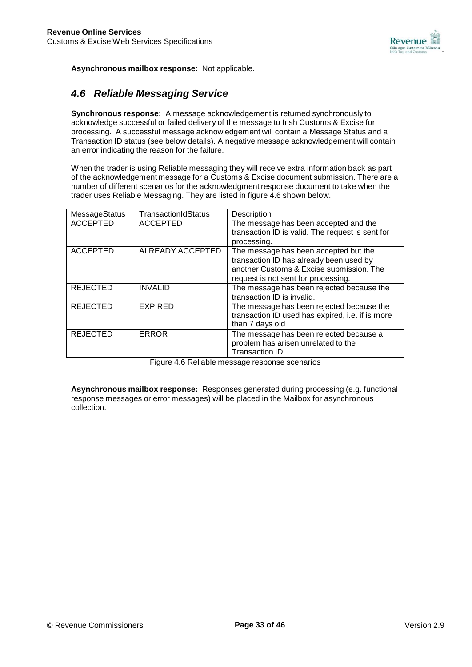

**Asynchronous mailbox response:** Not applicable.

## *4.6 Reliable Messaging Service*

**Synchronous response:** A message acknowledgement is returned synchronously to acknowledge successful or failed delivery of the message to Irish Customs & Excise for processing. A successful message acknowledgement will contain a Message Status and a Transaction ID status (see below details). A negative message acknowledgement will contain an error indicating the reason for the failure.

When the trader is using Reliable messaging they will receive extra information back as part of the acknowledgement message for a Customs & Excise document submission. There are a number of different scenarios for the acknowledgment response document to take when the trader uses Reliable Messaging. They are listed in figure 4.6 shown below.

| MessageStatus   | TransactionIdStatus | Description                                      |
|-----------------|---------------------|--------------------------------------------------|
| <b>ACCEPTED</b> | <b>ACCEPTED</b>     | The message has been accepted and the            |
|                 |                     | transaction ID is valid. The request is sent for |
|                 |                     | processing.                                      |
| <b>ACCEPTED</b> | ALREADY ACCEPTED    | The message has been accepted but the            |
|                 |                     | transaction ID has already been used by          |
|                 |                     | another Customs & Excise submission. The         |
|                 |                     | request is not sent for processing.              |
| <b>REJECTED</b> | <b>INVALID</b>      | The message has been rejected because the        |
|                 |                     | transaction ID is invalid.                       |
| <b>REJECTED</b> | <b>EXPIRED</b>      | The message has been rejected because the        |
|                 |                     | transaction ID used has expired, i.e. if is more |
|                 |                     | than 7 days old                                  |
| <b>REJECTED</b> | <b>ERROR</b>        | The message has been rejected because a          |
|                 |                     | problem has arisen unrelated to the              |
|                 |                     | <b>Transaction ID</b>                            |

Figure 4.6 Reliable message response scenarios

**Asynchronous mailbox response:** Responses generated during processing (e.g. functional response messages or error messages) will be placed in the Mailbox for asynchronous collection.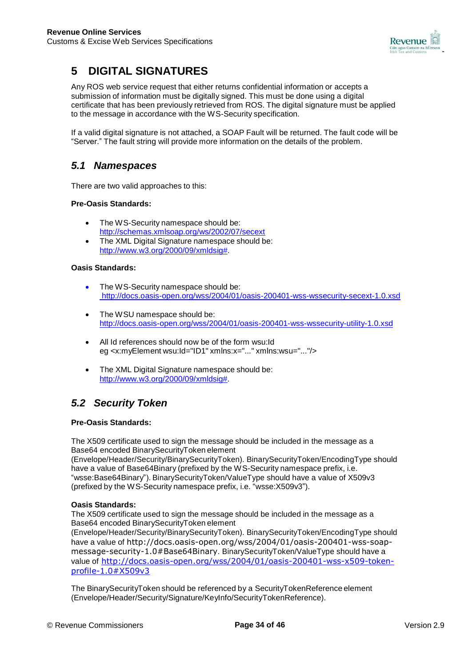

## **5 DIGITAL SIGNATURES**

Any ROS web service request that either returns confidential information or accepts a submission of information must be digitally signed. This must be done using a digital certificate that has been previously retrieved from ROS. The digital signature must be applied to the message in accordance with the WS-Security specification.

If a valid digital signature is not attached, a SOAP Fault will be returned. The fault code will be "Server." The fault string will provide more information on the details of the problem.

## *5.1 Namespaces*

There are two valid approaches to this:

### **Pre-Oasis Standards:**

- The WS-Security namespace should be: <http://schemas.xmlsoap.org/ws/2002/07/secext>
- The XML Digital Signature namespace should be: [http://www.w3.org/2000/09/xmldsig#.](http://www.w3.org/2000/09/xmldsig)

#### **Oasis Standards:**

- The WS-Security namespace should be: <http://docs.oasis-open.org/wss/2004/01/oasis-200401-wss-wssecurity-secext-1.0.xsd>
- The WSU namespace should be: <http://docs.oasis-open.org/wss/2004/01/oasis-200401-wss-wssecurity-utility-1.0.xsd>
- All Id references should now be of the form wsu:Id eg <x:myElement wsu:Id="ID1" xmlns:x="..." xmlns:wsu="..."/>
- The XML Digital Signature namespace should be: [http://www.w3.org/2000/09/xmldsig#.](http://www.w3.org/2000/09/xmldsig)

## *5.2 Security Token*

#### **Pre-Oasis Standards:**

The X509 certificate used to sign the message should be included in the message as a Base64 encoded BinarySecurityToken element

(Envelope/Header/Security/BinarySecurityToken). BinarySecurityToken/EncodingType should have a value of Base64Binary (prefixed by the WS-Security namespace prefix, i.e. "wsse:Base64Binary"). BinarySecurityToken/ValueType should have a value of X509v3 (prefixed by the WS-Security namespace prefix, i.e. "wsse:X509v3").

#### **Oasis Standards:**

The X509 certificate used to sign the message should be included in the message as a Base64 encoded BinarySecurityToken element

(Envelope/Header/Security/BinarySecurityToken). BinarySecurityToken/EncodingType should have a value of [http://docs.oasis-open.org/wss/2004/01/oasis-200401-wss-soap](http://docs.oasis-open.org/wss/2004/01/oasis-200401-wss-soap-)message-security-1.0#Base64Binary. BinarySecurityToken/ValueType should have a value of [http://docs.oasis-open.org/wss/2004/01/oasis-200401-wss-x509-token](http://docs.oasis-open.org/wss/2004/01/oasis-200401-wss-x509-token-profile-1.0#X509v3)[profile-1.0#X509v3](http://docs.oasis-open.org/wss/2004/01/oasis-200401-wss-x509-token-profile-1.0#X509v3)

The BinarySecurityToken should be referenced by a SecurityTokenReference element (Envelope/Header/Security/Signature/KeyInfo/SecurityTokenReference).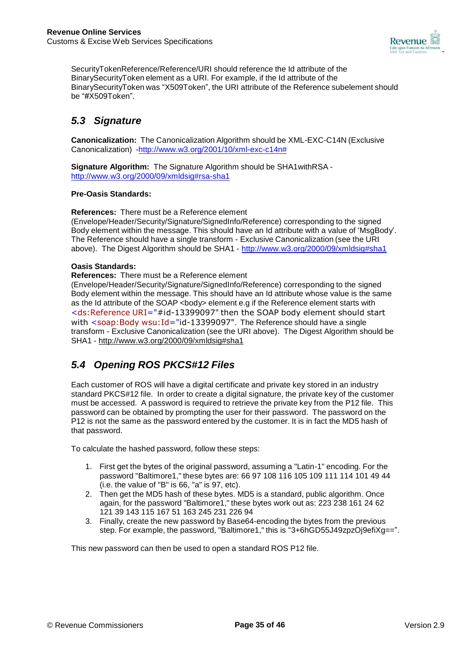

SecurityTokenReference/Reference/URI should reference the Id attribute of the BinarySecurityToken element as a URI. For example, if the Id attribute of the BinarySecurityToken was "X509Token", the URI attribute of the Reference subelement should be "#X509Token".

## *5.3 Signature*

**Canonicalization:** The Canonicalization Algorithm should be XML-EXC-C14N (Exclusive Canonicalization) [-http://www.w3.org/2001/10/xml-exc-c14n#](http://www.w3.org/2001/10/xml-exc-c14n)

**Signature Algorithm:** The Signature Algorithm should be SHA1withRSA <http://www.w3.org/2000/09/xmldsig#rsa-sha1>

#### **Pre-Oasis Standards:**

**References:** There must be a Reference element (Envelope/Header/Security/Signature/SignedInfo/Reference) corresponding to the signed Body element within the message. This should have an Id attribute with a value of 'MsgBody'. The Reference should have a single transform - Exclusive Canonicalization (see the URI

above). The Digest Algorithm should be SHA1 - <http://www.w3.org/2000/09/xmldsig#sha1>

### **Oasis Standards:**

**References:** There must be a Reference element

(Envelope/Header/Security/Signature/SignedInfo/Reference) corresponding to the signed Body element within the message. This should have an Id attribute whose value is the same as the Id attribute of the SOAP <body> element e.g if the Reference element starts with <ds:Reference URI="#id-13399097" then the SOAP body element should start with <soap:Body wsu:Id="id-13399097". The Reference should have a single transform - Exclusive Canonicalization (see the URI above). The Digest Algorithm should be SHA1 - <http://www.w3.org/2000/09/xmldsig#sha1>

## *5.4 Opening ROS PKCS#12 Files*

Each customer of ROS will have a digital certificate and private key stored in an industry standard PKCS#12 file. In order to create a digital signature, the private key of the customer must be accessed. A password is required to retrieve the private key from the P12 file. This password can be obtained by prompting the user for their password. The password on the P12 is not the same as the password entered by the customer. It is in fact the MD5 hash of that password.

To calculate the hashed password, follow these steps:

- 1. First get the bytes of the original password, assuming a "Latin-1" encoding. For the password "Baltimore1," these bytes are: 66 97 108 116 105 109 111 114 101 49 44 (i.e. the value of "B" is 66, "a" is 97, etc).
- 2. Then get the MD5 hash of these bytes. MD5 is a standard, public algorithm. Once again, for the password "Baltimore1," these bytes work out as: 223 238 161 24 62 121 39 143 115 167 51 163 245 231 226 94
- 3. Finally, create the new password by Base64-encoding the bytes from the previous step. For example, the password, "Baltimore1," this is "3+6hGD55J49zpzOj9efiXg==".

This new password can then be used to open a standard ROS P12 file.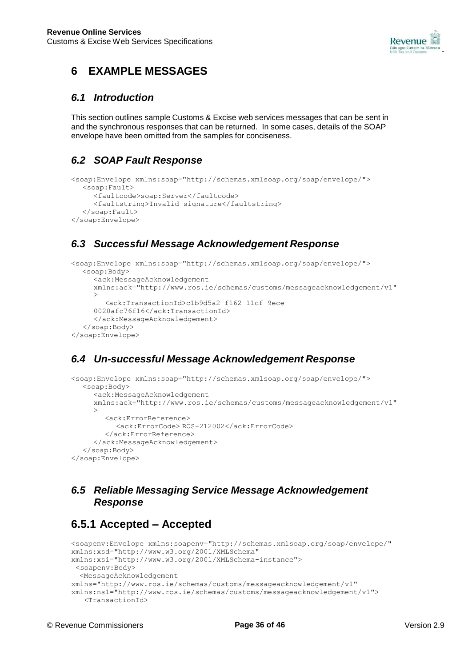

## **6 EXAMPLE MESSAGES**

### *6.1 Introduction*

This section outlines sample Customs & Excise web services messages that can be sent in and the synchronous responses that can be returned. In some cases, details of the SOAP envelope have been omitted from the samples for conciseness.

## *6.2 SOAP Fault Response*

```
<soap:Envelope xmlns:soap="http://schemas.xmlsoap.org/soap/envelope/">
  <soap:Fault>
     <faultcode>soap:Server</faultcode>
     <faultstring>Invalid signature</faultstring>
  </soap:Fault>
</soap:Envelope>
```
## *6.3 Successful Message Acknowledgement Response*

```
<soap:Envelope xmlns:soap="http://schemas.xmlsoap.org/soap/envelope/">
  <soap:Body>
     <ack:MessageAcknowledgement
     xmlns:ack="http://www.ros.ie/schemas/customs/messageacknowledgement/v1"
     >
        <ack:TransactionId>c1b9d5a2-f162-11cf-9ece-
     0020afc76f16</ack:TransactionId>
     </ack:MessageAcknowledgement>
  </soap:Body>
</soap:Envelope>
```
## *6.4 Un-successful Message Acknowledgement Response*

```
<soap:Envelope xmlns:soap="http://schemas.xmlsoap.org/soap/envelope/">
  <soap:Body>
     <ack:MessageAcknowledgement 
     xmlns:ack="http://www.ros.ie/schemas/customs/messageacknowledgement/v1"
     \rightarrow<ack:ErrorReference>
           <ack:ErrorCode> ROS-212002</ack:ErrorCode>
        </ack:ErrorReference>
     </ack:MessageAcknowledgement>
  </soap:Body>
</soap:Envelope>
```
## *6.5 Reliable Messaging Service Message Acknowledgement Response*

## **6.5.1 Accepted – Accepted**

```
<soapenv:Envelope xmlns:soapenv="http://schemas.xmlsoap.org/soap/envelope/"
xmlns:xsd="http://www.w3.org/2001/XMLSchema"
xmlns:xsi="http://www.w3.org/2001/XMLSchema-instance">
<soapenv:Body>
 <MessageAcknowledgement 
xmlns="http://www.ros.ie/schemas/customs/messageacknowledgement/v1"
xmlns:ns1="http://www.ros.ie/schemas/customs/messageacknowledgement/v1">
   <TransactionId>
```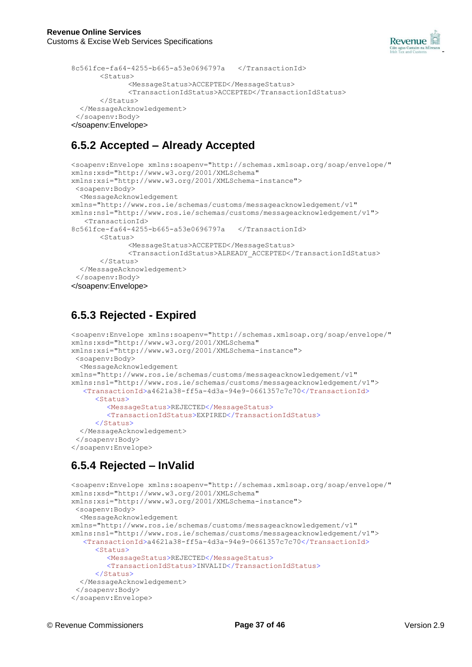

```
8c561fce-fa64-4255-b665-a53e0696797a </TransactionId>
       <Status><MessageStatus>ACCEPTED</MessageStatus>
             <TransactionIdStatus>ACCEPTED</TransactionIdStatus>
      </Status>
 </MessageAcknowledgement>
 </soapenv:Body>
</soapenv:Envelope>
```
## **6.5.2 Accepted – Already Accepted**

```
<soapenv:Envelope xmlns:soapenv="http://schemas.xmlsoap.org/soap/envelope/"
xmlns:xsd="http://www.w3.org/2001/XMLSchema" 
xmlns:xsi="http://www.w3.org/2001/XMLSchema-instance">
 <soapenv:Body>
  <MessageAcknowledgement
xmlns="http://www.ros.ie/schemas/customs/messageacknowledgement/v1"
xmlns:ns1="http://www.ros.ie/schemas/customs/messageacknowledgement/v1">
   <TransactionId>
8c561fce-fa64-4255-b665-a53e0696797a </TransactionId>
      <Status>
             <MessageStatus>ACCEPTED</MessageStatus>
             <TransactionIdStatus>ALREADY_ACCEPTED</TransactionIdStatus>
      </Status>
 </MessageAcknowledgement>
 </soapenv:Body>
</soapenv:Envelope>
```
## **6.5.3 Rejected - Expired**

```
<soapenv:Envelope xmlns:soapenv="http://schemas.xmlsoap.org/soap/envelope/"
xmlns:xsd="http://www.w3.org/2001/XMLSchema"
xmlns:xsi="http://www.w3.org/2001/XMLSchema-instance">
<soapenv:Body>
 <MessageAcknowledgement
xmlns="http://www.ros.ie/schemas/customs/messageacknowledgement/v1"
xmlns:ns1="http://www.ros.ie/schemas/customs/messageacknowledgement/v1">
  <TransactionId>a4621a38-ff5a-4d3a-94e9-0661357c7c70</TransactionId>
     <Status><MessageStatus>REJECTED</MessageStatus>
        <TransactionIdStatus>EXPIRED</TransactionIdStatus>
     \langle/Status>
  </MessageAcknowledgement>
 </soapenv:Body>
</soapenv:Envelope>
```
## **6.5.4 Rejected – InValid**

```
<soapenv:Envelope xmlns:soapenv="http://schemas.xmlsoap.org/soap/envelope/"
xmlns:xsd="http://www.w3.org/2001/XMLSchema" 
xmlns:xsi="http://www.w3.org/2001/XMLSchema-instance">
 <soapenv:Body>
 <MessageAcknowledgement
xmlns="http://www.ros.ie/schemas/customs/messageacknowledgement/v1"
xmlns:ns1="http://www.ros.ie/schemas/customs/messageacknowledgement/v1">
   <TransactionId>a4621a38-ff5a-4d3a-94e9-0661357c7c70</TransactionId>
      <Status>
        <MessageStatus>REJECTED</MessageStatus>
        <TransactionIdStatus>INVALID</TransactionIdStatus>
     </Status>
  </MessageAcknowledgement>
 </soapenv:Body>
</soapenv:Envelope>
```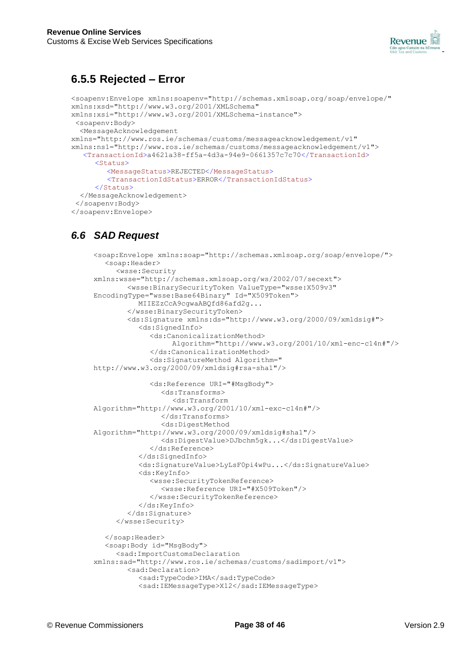

## **6.5.5 Rejected – Error**

```
<soapenv:Envelope xmlns:soapenv="http://schemas.xmlsoap.org/soap/envelope/"
xmlns:xsd="http://www.w3.org/2001/XMLSchema"
xmlns:xsi="http://www.w3.org/2001/XMLSchema-instance">
<soapenv:Body>
 <MessageAcknowledgement 
xmlns="http://www.ros.ie/schemas/customs/messageacknowledgement/v1"
xmlns:ns1="http://www.ros.ie/schemas/customs/messageacknowledgement/v1">
   <TransactionId>a4621a38-ff5a-4d3a-94e9-0661357c7c70</TransactionId>
     <Status><MessageStatus>REJECTED</MessageStatus>
        <TransactionIdStatus>ERROR</TransactionIdStatus>
     </Status>
  </MessageAcknowledgement>
 </soapenv:Body>
</soapenv:Envelope>
```
## *6.6 SAD Request*

```
<soap:Envelope xmlns:soap="http://schemas.xmlsoap.org/soap/envelope/">
  <soap:Header>
     <wsse:Security
xmlns:wsse="http://schemas.xmlsoap.org/ws/2002/07/secext">
        <wsse:BinarySecurityToken ValueType="wsse:X509v3" 
EncodingType="wsse:Base64Binary" Id="X509Token">
          MIIEZzCcA9cgwaABQfd86afd2g...
        </wsse:BinarySecurityToken>
        <ds:Signature xmlns:ds="http://www.w3.org/2000/09/xmldsig#">
          <ds:SignedInfo>
             <ds:CanonicalizationMethod>
                  Algorithm="http://www.w3.org/2001/10/xml-enc-c14n#"/>
             </ds:CanonicalizationMethod>
             <ds:SignatureMethod Algorithm=" 
http://www.w3.org/2000/09/xmldsig#rsa-sha1"/>
             <ds:Reference URI="#MsgBody">
                <ds:Transforms>
                  <ds:Transform
Algorithm="http://www.w3.org/2001/10/xml-exc-c14n#"/>
                </ds:Transforms>
                <ds:DigestMethod
Algorithm="http://www.w3.org/2000/09/xmldsig#sha1"/>
                <ds:DigestValue>DJbchm5gk...</ds:DigestValue>
             </ds:Reference>
          </ds:SignedInfo>
          <ds:SignatureValue>LyLsF0pi4wPu...</ds:SignatureValue>
          <ds:KeyInfo>
             <wsse:SecurityTokenReference>
                <wsse:Reference URI="#X509Token"/>
             </wsse:SecurityTokenReference>
          </ds:KeyInfo>
        </ds:Signature>
     </wsse:Security>
  </soap:Header>
  <soap:Body id="MsgBody">
     <sad:ImportCustomsDeclaration
xmlns:sad="http://www.ros.ie/schemas/customs/sadimport/v1">
        <sad:Declaration>
          <sad:TypeCode>IMA</sad:TypeCode>
          <sad:IEMessageType>X12</sad:IEMessageType>
```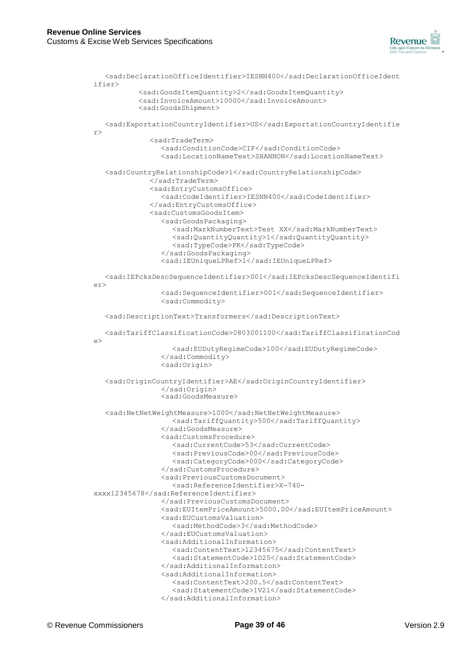

```
<sad:DeclarationOfficeIdentifier>IESNN400</sad:DeclarationOfficeIdent 
ifier>
           <sad:GoodsItemQuantity>2</sad:GoodsItemQuantity>
           <sad:InvoiceAmount>10000</sad:InvoiceAmount>
           <sad:GoodsShipment>
   <sad:ExportationCountryIdentifier>US</sad:ExportationCountryIdentifie 
r>
             <sad:TradeTerm>
                <sad:ConditionCode>CIF</sad:ConditionCode>
                <sad:LocationNameText>SHANNON</sad:LocationNameText>
   <sad:CountryRelationshipCode>1</sad:CountryRelationshipCode>
             </sad:TradeTerm>
             <sad:EntryCustomsOffice>
                <sad:CodeIdentifier>IESNN400</sad:CodeIdentifier>
             </sad:EntryCustomsOffice>
             <sad:CustomsGoodsItem>
                <sad:GoodsPackaging>
                   <sad:MarkNumberText>Test XX</sad:MarkNumberText>
                  <sad:QuantityQuantity>1</sad:QuantityQuantity>
                  <sad:TypeCode>PK</sad:TypeCode>
                </sad:GoodsPackaging>
                <sad:IEUniqueLPRef>1</sad:IEUniqueLPRef>
   <sad:IEPcksDescSequenceIdentifier>001</sad:IEPcksDescSequenceIdentifi 
\alpha<sad:SequenceIdentifier>001</sad:SequenceIdentifier>
                <sad:Commodity>
   <sad:DescriptionText>Transformers</sad:DescriptionText>
   <sad:TariffClassificationCode>0803001100</sad:TariffClassificationCod 
\Rightarrow<sad:EUDutyRegimeCode>100</sad:EUDutyRegimeCode>
                </sad:Commodity>
                <sad:Origin>
  <sad:OriginCountryIdentifier>AE</sad:OriginCountryIdentifier>
                </sad:Origin>
                <sad:GoodsMeasure>
   <sad:NetNetWeightMeasure>1000</sad:NetNetWeightMeasure>
                  <sad:TariffQuantity>500</sad:TariffQuantity>
                </sad:GoodsMeasure>
                <sad:CustomsProcedure>
                  <sad:CurrentCode>53</sad:CurrentCode>
                   <sad:PreviousCode>00</sad:PreviousCode>
                   <sad:CategoryCode>000</sad:CategoryCode>
                </sad:CustomsProcedure>
                <sad:PreviousCustomsDocument>
                   <sad:ReferenceIdentifier>X-740-
xxxx12345678</sad:ReferenceIdentifier>
                </sad:PreviousCustomsDocument>
                <sad:EUItemPriceAmount>5000.00</sad:EUItemPriceAmount>
                <sad:EUCustomsValuation>
                  <sad:MethodCode>3</sad:MethodCode>
                </sad:EUCustomsValuation>
                <sad:AdditionalInformation>
                  <sad:ContentText>12345675</sad:ContentText>
                   <sad:StatementCode>1D25</sad:StatementCode>
                </sad:AdditionalInformation>
                <sad:AdditionalInformation>
                   <sad:ContentText>200.5</sad:ContentText>
                   <sad:StatementCode>1V21</sad:StatementCode>
                </sad:AdditionalInformation>
```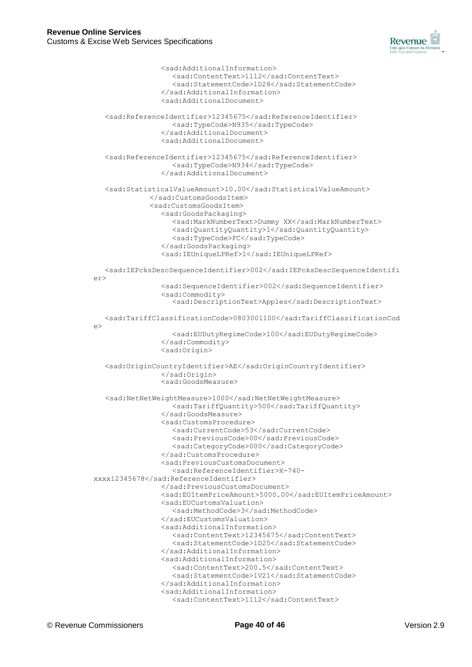

<sad:AdditionalInformation> <sad:ContentText>1112</sad:ContentText> <sad:StatementCode>1D28</sad:StatementCode> </sad:AdditionalInformation> <sad:AdditionalDocument> <sad:ReferenceIdentifier>12345675</sad:ReferenceIdentifier> <sad:TypeCode>N935</sad:TypeCode> </sad:AdditionalDocument> <sad:AdditionalDocument> <sad:ReferenceIdentifier>12345675</sad:ReferenceIdentifier> <sad:TypeCode>N934</sad:TypeCode> </sad:AdditionalDocument> <sad:StatisticalValueAmount>10.00</sad:StatisticalValueAmount> </sad:CustomsGoodsItem> <sad:CustomsGoodsItem> <sad:GoodsPackaging> <sad:MarkNumberText>Dummy XX</sad:MarkNumberText> <sad:QuantityQuantity>1</sad:QuantityQuantity> <sad:TypeCode>FC</sad:TypeCode> </sad:GoodsPackaging> <sad:IEUniqueLPRef>1</sad:IEUniqueLPRef> <sad:IEPcksDescSequenceIdentifier>002</sad:IEPcksDescSequenceIdentifi er> <sad:SequenceIdentifier>002</sad:SequenceIdentifier> <sad:Commodity> <sad:DescriptionText>Apples</sad:DescriptionText> <sad:TariffClassificationCode>0803001100</sad:TariffClassificationCod e> <sad:EUDutyRegimeCode>100</sad:EUDutyRegimeCode> </sad:Commodity> <sad:Origin> <sad:OriginCountryIdentifier>AE</sad:OriginCountryIdentifier> </sad:Origin> <sad:GoodsMeasure> <sad:NetNetWeightMeasure>1000</sad:NetNetWeightMeasure> <sad:TariffQuantity>500</sad:TariffQuantity> </sad:GoodsMeasure> <sad:CustomsProcedure> <sad:CurrentCode>53</sad:CurrentCode> <sad:PreviousCode>00</sad:PreviousCode> <sad:CategoryCode>000</sad:CategoryCode> </sad:CustomsProcedure> <sad:PreviousCustomsDocument> <sad:ReferenceIdentifier>X-740 xxxx12345678</sad:ReferenceIdentifier> </sad:PreviousCustomsDocument> <sad:EUItemPriceAmount>5000.00</sad:EUItemPriceAmount> <sad:EUCustomsValuation> <sad:MethodCode>3</sad:MethodCode> </sad:EUCustomsValuation> <sad:AdditionalInformation> <sad:ContentText>12345675</sad:ContentText> <sad:StatementCode>1D25</sad:StatementCode> </sad:AdditionalInformation> <sad:AdditionalInformation> <sad:ContentText>200.5</sad:ContentText> <sad:StatementCode>1V21</sad:StatementCode> </sad:AdditionalInformation> <sad:AdditionalInformation> <sad:ContentText>1112</sad:ContentText>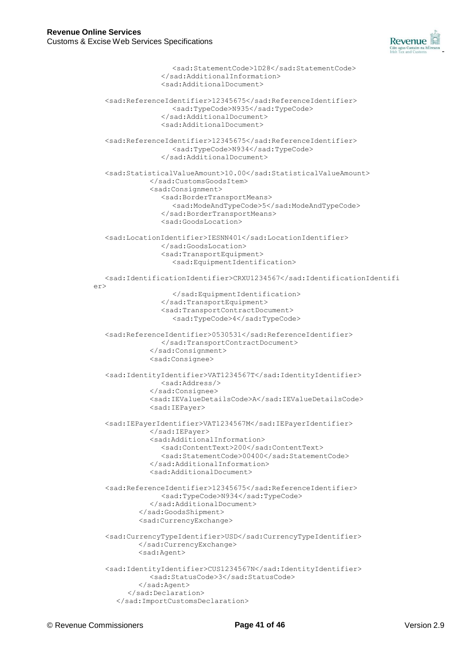

```
<sad:StatementCode>1D28</sad:StatementCode>
                </sad:AdditionalInformation>
                <sad:AdditionalDocument>
  <sad:ReferenceIdentifier>12345675</sad:ReferenceIdentifier>
                  <sad:TypeCode>N935</sad:TypeCode>
                </sad:AdditionalDocument>
                <sad:AdditionalDocument>
  <sad:ReferenceIdentifier>12345675</sad:ReferenceIdentifier>
                  <sad:TypeCode>N934</sad:TypeCode>
                </sad:AdditionalDocument>
  <sad:StatisticalValueAmount>10.00</sad:StatisticalValueAmount>
             </sad:CustomsGoodsItem>
             <sad:Consignment>
                <sad:BorderTransportMeans>
                  <sad:ModeAndTypeCode>5</sad:ModeAndTypeCode>
                </sad:BorderTransportMeans>
                <sad:GoodsLocation>
  <sad:LocationIdentifier>IESNN401</sad:LocationIdentifier>
                </sad:GoodsLocation>
                <sad:TransportEquipment>
                  <sad:EquipmentIdentification>
  <sad:IdentificationIdentifier>CRXU1234567</sad:IdentificationIdentifi 
\rho r</sad:EquipmentIdentification>
                </sad:TransportEquipment>
                <sad:TransportContractDocument>
                  <sad:TypeCode>4</sad:TypeCode>
  <sad:ReferenceIdentifier>0530531</sad:ReferenceIdentifier>
                </sad:TransportContractDocument>
             </sad:Consignment>
             <sad:Consignee>
  <sad:IdentityIdentifier>VAT1234567T</sad:IdentityIdentifier>
                <sad:Address/>
             </sad:Consignee>
             <sad:IEValueDetailsCode>A</sad:IEValueDetailsCode>
             <sad:IEPayer>
  <sad:IEPayerIdentifier>VAT1234567M</sad:IEPayerIdentifier>
             </sad:IEPayer>
             <sad:AdditionalInformation>
                <sad:ContentText>200</sad:ContentText>
                <sad:StatementCode>00400</sad:StatementCode>
             </sad:AdditionalInformation>
             <sad:AdditionalDocument>
  <sad:ReferenceIdentifier>12345675</sad:ReferenceIdentifier>
               <sad:TypeCode>N934</sad:TypeCode>
             </sad:AdditionalDocument>
          </sad:GoodsShipment>
          <sad:CurrencyExchange>
  <sad:CurrencyTypeIdentifier>USD</sad:CurrencyTypeIdentifier>
          </sad:CurrencyExchange>
          <sad:Agent>
  <sad:IdentityIdentifier>CUS1234567N</sad:IdentityIdentifier>
             <sad:StatusCode>3</sad:StatusCode>
          </sad:Agent>
        </sad:Declaration>
     </sad:ImportCustomsDeclaration>
```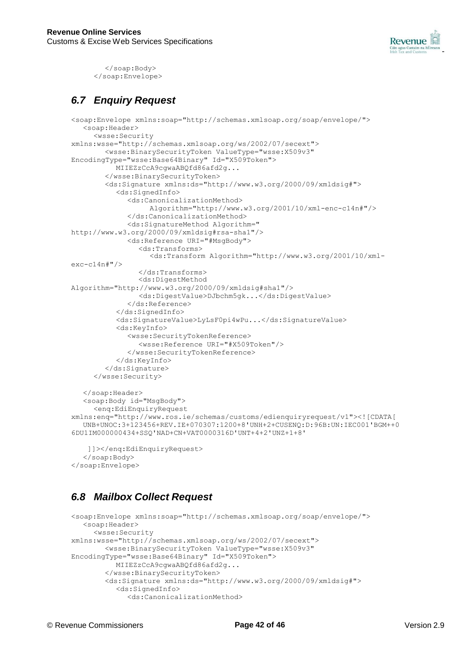

</soap:Body> </soap:Envelope>

## *6.7 Enquiry Request*

```
<soap:Envelope xmlns:soap="http://schemas.xmlsoap.org/soap/envelope/">
   <soap:Header>
     <wsse:Security
xmlns:wsse="http://schemas.xmlsoap.org/ws/2002/07/secext">
        <wsse:BinarySecurityToken ValueType="wsse:X509v3" 
EncodingType="wsse:Base64Binary" Id="X509Token">
          MIIEZzCcA9cgwaABQfd86afd2g...
        </wsse:BinarySecurityToken>
        <ds:Signature xmlns:ds="http://www.w3.org/2000/09/xmldsig#">
          <ds:SignedInfo>
             <ds:CanonicalizationMethod>
                   Algorithm="http://www.w3.org/2001/10/xml-enc-c14n#"/>
             </ds:CanonicalizationMethod>
             <ds:SignatureMethod Algorithm=" 
http://www.w3.org/2000/09/xmldsig#rsa-sha1"/>
             <ds:Reference URI="#MsgBody">
                <ds:Transforms>
                  <ds:Transform Algorithm="http://www.w3.org/2001/10/xml-
exc-c14n#"/>
                </ds:Transforms>
                <ds:DigestMethod
Algorithm="http://www.w3.org/2000/09/xmldsig#sha1"/>
                <ds:DigestValue>DJbchm5gk...</ds:DigestValue>
             </ds:Reference>
          </ds:SignedInfo>
          <ds:SignatureValue>LyLsF0pi4wPu...</ds:SignatureValue>
          <ds:KeyInfo>
             <wsse:SecurityTokenReference>
                <wsse:Reference URI="#X509Token"/>
             </wsse:SecurityTokenReference>
          </ds:KeyInfo>
        </ds:Signature>
     </wsse:Security>
   </soap:Header>
  <soap:Body id="MsgBody">
     <enq:EdiEnquiryRequest
xmlns:enq="http://www.ros.ie/schemas/customs/edienquiryrequest/v1"><![CDATA[
  UNB+UNOC:3+123456+REV.IE+070307:1200+8'UNH+2+CUSENQ:D:96B:UN:IEC001'BGM++0
6DU1IM000000434+SSQ'NAD+CN+VAT0000316D'UNT+4+2'UNZ+1+8'
```

```
]]></enq:EdiEnquiryRequest>
   </soap:Body>
</soap:Envelope>
```
## *6.8 Mailbox Collect Request*

```
<soap:Envelope xmlns:soap="http://schemas.xmlsoap.org/soap/envelope/">
  <soap:Header>
     <wsse:Security
xmlns:wsse="http://schemas.xmlsoap.org/ws/2002/07/secext">
        <wsse:BinarySecurityToken ValueType="wsse:X509v3" 
EncodingType="wsse:Base64Binary" Id="X509Token">
          MIIEZzCcA9cgwaABQfd86afd2g...
        </wsse:BinarySecurityToken>
       <ds:Signature xmlns:ds="http://www.w3.org/2000/09/xmldsig#">
          <ds:SignedInfo>
             <ds:CanonicalizationMethod>
```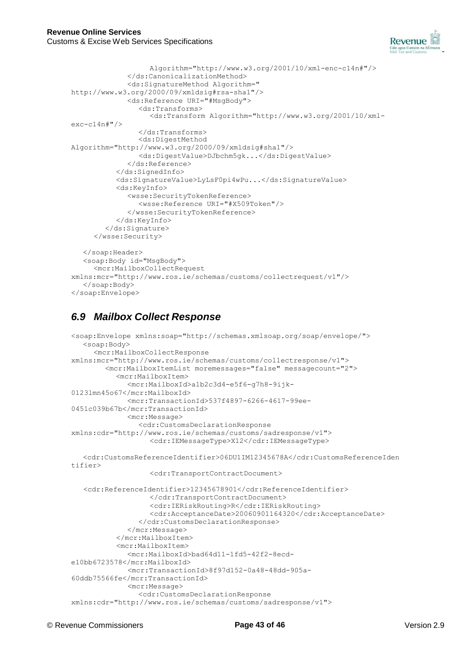

```
Algorithm="http://www.w3.org/2001/10/xml-enc-c14n#"/>
             </ds:CanonicalizationMethod>
             <ds:SignatureMethod Algorithm=" 
http://www.w3.org/2000/09/xmldsig#rsa-sha1"/>
             <ds:Reference URI="#MsgBody">
                <ds:Transforms>
                   <ds:Transform Algorithm="http://www.w3.org/2001/10/xml-
exc-c14n#"/>
                </ds:Transforms>
                <ds:DigestMethod
Algorithm="http://www.w3.org/2000/09/xmldsig#sha1"/>
                <ds:DigestValue>DJbchm5gk...</ds:DigestValue>
             </ds:Reference>
          </ds:SignedInfo>
          <ds:SignatureValue>LyLsF0pi4wPu...</ds:SignatureValue>
          <ds:KeyInfo>
             <wsse:SecurityTokenReference>
                <wsse:Reference URI="#X509Token"/>
             </wsse:SecurityTokenReference>
          </ds:KeyInfo>
        </ds:Signature>
     </wsse:Security>
   </soap:Header>
  <soap:Body id="MsgBody">
     <mcr:MailboxCollectRequest
xmlns:mcr="http://www.ros.ie/schemas/customs/collectrequest/v1"/>
   </soap:Body>
</soap:Envelope>
```
## *6.9 Mailbox Collect Response*

```
<soap:Envelope xmlns:soap="http://schemas.xmlsoap.org/soap/envelope/">
  <soap:Body>
     <mcr:MailboxCollectResponse
xmlns:mcr="http://www.ros.ie/schemas/customs/collectresponse/v1">
        <mcr:MailboxItemList moremessages="false" messagecount="2">
          <mcr:MailboxItem>
             <mcr:MailboxId>a1b2c3d4-e5f6-g7h8-9ijk-
0123lmn45o67</mcr:MailboxId>
             <mcr:TransactionId>537f4897-6266-4617-99ee-
0451c039b67b</mcr:TransactionId>
             <mcr:Message>
                <cdr:CustomsDeclarationResponse
xmlns:cdr="http://www.ros.ie/schemas/customs/sadresponse/v1">
                  <cdr:IEMessageType>X12</cdr:IEMessageType>
  <cdr:CustomsReferenceIdentifier>06DU1IM12345678A</cdr:CustomsReferenceIden 
tifier>
                  <cdr:TransportContractDocument>
  <cdr:ReferenceIdentifier>12345678901</cdr:ReferenceIdentifier>
                  </cdr:TransportContractDocument>
                  <cdr:IERiskRouting>R</cdr:IERiskRouting>
                  <cdr:AcceptanceDate>20060901164320</cdr:AcceptanceDate>
                </cdr:CustomsDeclarationResponse>
             </mcr:Message>
          </mcr:MailboxItem>
          <mcr:MailboxItem>
             <mcr:MailboxId>bad64d11-1fd5-42f2-8ecd-
e10bb6723578</mcr:MailboxId>
             <mcr:TransactionId>8f97d152-0a48-48dd-905a-
60ddb75566fe</mcr:TransactionId>
             <mcr:Message>
               <cdr:CustomsDeclarationResponse
xmlns:cdr="http://www.ros.ie/schemas/customs/sadresponse/v1">
```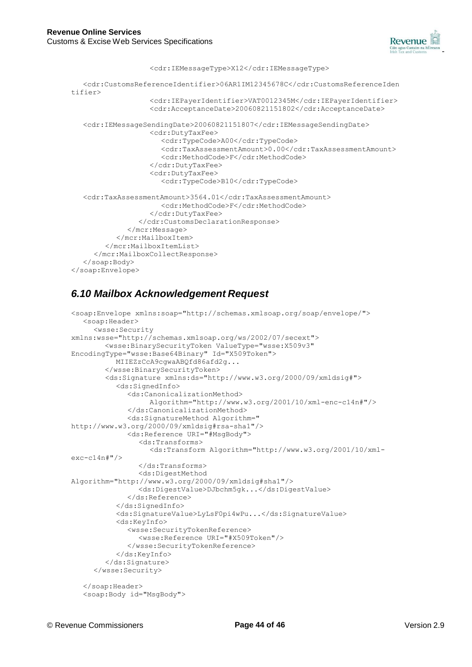

```
<cdr:IEMessageType>X12</cdr:IEMessageType>
  <cdr:CustomsReferenceIdentifier>06AR1IM12345678C</cdr:CustomsReferenceIden 
tifier>
                  <cdr:IEPayerIdentifier>VAT0012345M</cdr:IEPayerIdentifier>
                  <cdr:AcceptanceDate>20060821151802</cdr:AcceptanceDate>
  <cdr:IEMessageSendingDate>20060821151807</cdr:IEMessageSendingDate>
                  <cdr:DutyTaxFee>
                     <cdr:TypeCode>A00</cdr:TypeCode>
                     <cdr:TaxAssessmentAmount>0.00</cdr:TaxAssessmentAmount>
                     <cdr:MethodCode>F</cdr:MethodCode>
                  </cdr:DutyTaxFee>
                  <cdr:DutyTaxFee>
                     <cdr:TypeCode>B10</cdr:TypeCode>
  <cdr:TaxAssessmentAmount>3564.01</cdr:TaxAssessmentAmount>
                     <cdr:MethodCode>F</cdr:MethodCode>
                  </cdr:DutyTaxFee>
                </cdr:CustomsDeclarationResponse>
             </mcr:Message>
          </mcr:MailboxItem>
        </mcr:MailboxItemList>
     </mcr:MailboxCollectResponse>
  </soap:Body>
</soap:Envelope>
```
## *6.10 Mailbox Acknowledgement Request*

```
<soap:Envelope xmlns:soap="http://schemas.xmlsoap.org/soap/envelope/">
  <soap:Header>
     <wsse:Security
xmlns:wsse="http://schemas.xmlsoap.org/ws/2002/07/secext">
        <wsse:BinarySecurityToken ValueType="wsse:X509v3" 
EncodingType="wsse:Base64Binary" Id="X509Token">
          MIIEZzCcA9cgwaABQfd86afd2g...
        </wsse:BinarySecurityToken>
        <ds:Signature xmlns:ds="http://www.w3.org/2000/09/xmldsig#">
          <ds:SignedInfo>
             <ds:CanonicalizationMethod> 
                  Algorithm="http://www.w3.org/2001/10/xml-enc-c14n#"/>
             </ds:CanonicalizationMethod>
             <ds:SignatureMethod Algorithm="
http://www.w3.org/2000/09/xmldsig#rsa-sha1"/>
             <ds:Reference URI="#MsgBody">
                <ds:Transforms>
                   <ds:Transform Algorithm="http://www.w3.org/2001/10/xml-
exc-c14n#"/>
                </ds:Transforms>
                <ds:DigestMethod
Algorithm="http://www.w3.org/2000/09/xmldsig#sha1"/>
                <ds:DigestValue>DJbchm5gk...</ds:DigestValue>
             </ds:Reference>
          </ds:SignedInfo>
          <ds:SignatureValue>LyLsF0pi4wPu...</ds:SignatureValue>
          <ds:KeyInfo>
             <wsse:SecurityTokenReference>
                <wsse:Reference URI="#X509Token"/>
             </wsse:SecurityTokenReference>
          </ds:KeyInfo>
        </ds:Signature>
     </wsse:Security>
   </soap:Header>
   <soap:Body id="MsgBody">
```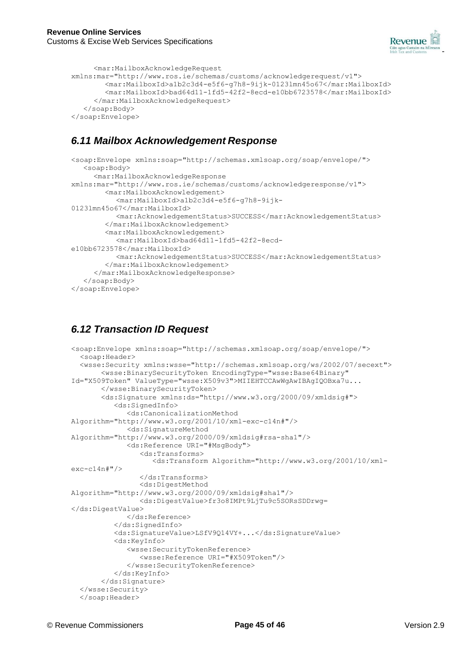

```
<mar:MailboxAcknowledgeRequest
xmlns:mar="http://www.ros.ie/schemas/customs/acknowledgerequest/v1">
        <mar:MailboxId>a1b2c3d4-e5f6-g7h8-9ijk-0123lmn45o67</mar:MailboxId>
        <mar:MailboxId>bad64d11-1fd5-42f2-8ecd-e10bb6723578</mar:MailboxId>
     </mar:MailboxAcknowledgeRequest>
  </soap:Body>
</soap:Envelope>
```
## *6.11 Mailbox Acknowledgement Response*

```
<soap:Envelope xmlns:soap="http://schemas.xmlsoap.org/soap/envelope/">
  <soap:Body>
     <mar:MailboxAcknowledgeResponse
xmlns:mar="http://www.ros.ie/schemas/customs/acknowledgeresponse/v1">
       <mar:MailboxAcknowledgement>
          <mar:MailboxId>a1b2c3d4-e5f6-g7h8-9ijk-
0123lmn45o67</mar:MailboxId>
          <mar:AcknowledgementStatus>SUCCESS</mar:AcknowledgementStatus>
        </mar:MailboxAcknowledgement>
       <mar:MailboxAcknowledgement>
          <mar:MailboxId>bad64d11-1fd5-42f2-8ecd-
e10bb6723578</mar:MailboxId>
          <mar:AcknowledgementStatus>SUCCESS</mar:AcknowledgementStatus>
       </mar:MailboxAcknowledgement>
     </mar:MailboxAcknowledgeResponse>
  </soap:Body>
</soap:Envelope>
```
## *6.12 Transaction ID Request*

```
<soap:Envelope xmlns:soap="http://schemas.xmlsoap.org/soap/envelope/">
  <soap:Header>
  <wsse:Security xmlns:wsse="http://schemas.xmlsoap.org/ws/2002/07/secext">
       <wsse:BinarySecurityToken EncodingType="wsse:Base64Binary" 
Id="X509Token" ValueType="wsse:X509v3">MIIEHTCCAwWgAwIBAgIQOBxa7u...
       </wsse:BinarySecurityToken>
       <ds:Signature xmlns:ds="http://www.w3.org/2000/09/xmldsig#">
          <ds:SignedInfo>
             <ds:CanonicalizationMethod
Algorithm="http://www.w3.org/2001/10/xml-exc-c14n#"/>
             <ds:SignatureMethod
Algorithm="http://www.w3.org/2000/09/xmldsig#rsa-sha1"/>
             <ds:Reference URI="#MsgBody">
                <ds:Transforms>
                   <ds:Transform Algorithm="http://www.w3.org/2001/10/xml-
exc-c14n#"/>
                </ds:Transforms>
                <ds:DigestMethod
Algorithm="http://www.w3.org/2000/09/xmldsig#sha1"/>
                <ds:DigestValue>fr3o8IMPt9LjTu9c5SORsSDDrwg=
</ds:DigestValue>
             </ds:Reference>
          </ds:SignedInfo>
          <ds:SignatureValue>LSfV9Q14VY+...</ds:SignatureValue>
          <ds:KeyInfo>
             <wsse:SecurityTokenReference>
                <wsse:Reference URI="#X509Token"/>
             </wsse:SecurityTokenReference>
          </ds:KeyInfo>
       </ds:Signature>
  </wsse:Security>
  </soap:Header>
```